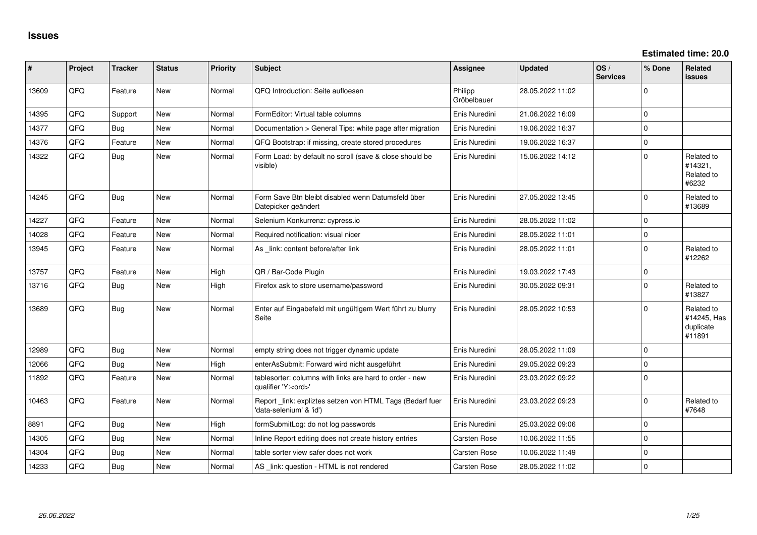| #     | Project | <b>Tracker</b> | <b>Status</b> | <b>Priority</b> | <b>Subject</b>                                                                        | Assignee               | <b>Updated</b>   | OS/<br><b>Services</b> | % Done      | Related<br>issues                                |
|-------|---------|----------------|---------------|-----------------|---------------------------------------------------------------------------------------|------------------------|------------------|------------------------|-------------|--------------------------------------------------|
| 13609 | QFQ     | Feature        | <b>New</b>    | Normal          | QFQ Introduction: Seite aufloesen                                                     | Philipp<br>Gröbelbauer | 28.05.2022 11:02 |                        | $\Omega$    |                                                  |
| 14395 | QFQ     | Support        | <b>New</b>    | Normal          | FormEditor: Virtual table columns                                                     | Enis Nuredini          | 21.06.2022 16:09 |                        | $\mathbf 0$ |                                                  |
| 14377 | QFQ     | Bug            | <b>New</b>    | Normal          | Documentation > General Tips: white page after migration                              | Enis Nuredini          | 19.06.2022 16:37 |                        | $\mathbf 0$ |                                                  |
| 14376 | QFQ     | Feature        | <b>New</b>    | Normal          | QFQ Bootstrap: if missing, create stored procedures                                   | Enis Nuredini          | 19.06.2022 16:37 |                        | $\mathbf 0$ |                                                  |
| 14322 | QFQ     | Bug            | New           | Normal          | Form Load: by default no scroll (save & close should be<br>visible)                   | Enis Nuredini          | 15.06.2022 14:12 |                        | $\Omega$    | Related to<br>#14321,<br>Related to<br>#6232     |
| 14245 | QFQ     | Bug            | <b>New</b>    | Normal          | Form Save Btn bleibt disabled wenn Datumsfeld über<br>Datepicker geändert             | Enis Nuredini          | 27.05.2022 13:45 |                        | $\Omega$    | Related to<br>#13689                             |
| 14227 | QFQ     | Feature        | <b>New</b>    | Normal          | Selenium Konkurrenz: cypress.io                                                       | Enis Nuredini          | 28.05.2022 11:02 |                        | $\Omega$    |                                                  |
| 14028 | QFQ     | Feature        | <b>New</b>    | Normal          | Required notification: visual nicer                                                   | Enis Nuredini          | 28.05.2022 11:01 |                        | $\mathbf 0$ |                                                  |
| 13945 | QFQ     | Feature        | <b>New</b>    | Normal          | As link: content before/after link                                                    | Enis Nuredini          | 28.05.2022 11:01 |                        | $\Omega$    | Related to<br>#12262                             |
| 13757 | QFQ     | Feature        | <b>New</b>    | High            | QR / Bar-Code Plugin                                                                  | Enis Nuredini          | 19.03.2022 17:43 |                        | $\mathbf 0$ |                                                  |
| 13716 | QFQ     | Bug            | <b>New</b>    | High            | Firefox ask to store username/password                                                | Enis Nuredini          | 30.05.2022 09:31 |                        | $\Omega$    | Related to<br>#13827                             |
| 13689 | QFQ     | Bug            | New           | Normal          | Enter auf Eingabefeld mit ungültigem Wert führt zu blurry<br>Seite                    | Enis Nuredini          | 28.05.2022 10:53 |                        | $\Omega$    | Related to<br>#14245, Has<br>duplicate<br>#11891 |
| 12989 | QFQ     | Bug            | <b>New</b>    | Normal          | empty string does not trigger dynamic update                                          | Enis Nuredini          | 28.05.2022 11:09 |                        | $\mathbf 0$ |                                                  |
| 12066 | QFQ     | Bug            | <b>New</b>    | High            | enterAsSubmit: Forward wird nicht ausgeführt                                          | Enis Nuredini          | 29.05.2022 09:23 |                        | $\Omega$    |                                                  |
| 11892 | QFQ     | Feature        | <b>New</b>    | Normal          | tablesorter: columns with links are hard to order - new<br>qualifier 'Y: <ord>'</ord> | Enis Nuredini          | 23.03.2022 09:22 |                        | $\mathbf 0$ |                                                  |
| 10463 | QFQ     | Feature        | <b>New</b>    | Normal          | Report _link: expliztes setzen von HTML Tags (Bedarf fuer<br>'data-selenium' & 'id')  | Enis Nuredini          | 23.03.2022 09:23 |                        | $\mathbf 0$ | Related to<br>#7648                              |
| 8891  | QFQ     | Bug            | New           | High            | formSubmitLog: do not log passwords                                                   | Enis Nuredini          | 25.03.2022 09:06 |                        | $\mathbf 0$ |                                                  |
| 14305 | QFQ     | Bug            | New           | Normal          | Inline Report editing does not create history entries                                 | Carsten Rose           | 10.06.2022 11:55 |                        | $\mathbf 0$ |                                                  |
| 14304 | QFQ     | Bug            | <b>New</b>    | Normal          | table sorter view safer does not work                                                 | Carsten Rose           | 10.06.2022 11:49 |                        | $\mathbf 0$ |                                                  |
| 14233 | QFQ     | Bug            | <b>New</b>    | Normal          | AS _link: question - HTML is not rendered                                             | Carsten Rose           | 28.05.2022 11:02 |                        | $\mathbf 0$ |                                                  |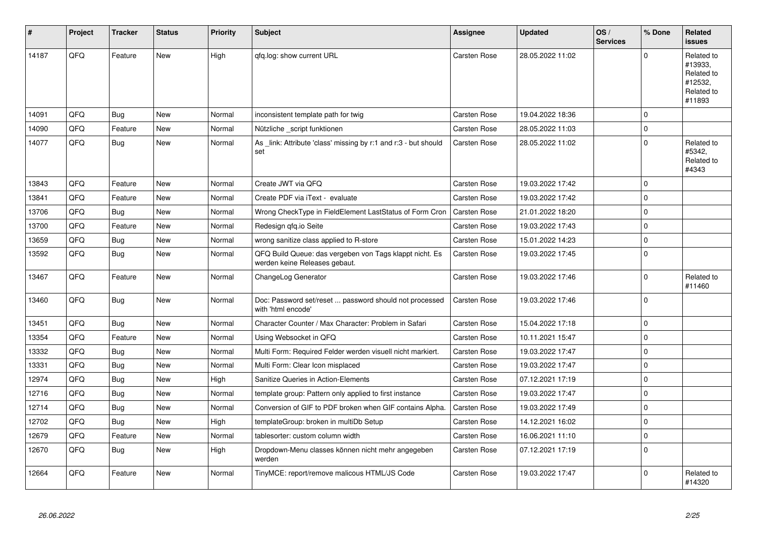| #     | Project | <b>Tracker</b> | <b>Status</b> | <b>Priority</b> | <b>Subject</b>                                                                           | <b>Assignee</b>     | <b>Updated</b>   | OS/<br><b>Services</b> | % Done      | Related<br><b>issues</b>                                               |
|-------|---------|----------------|---------------|-----------------|------------------------------------------------------------------------------------------|---------------------|------------------|------------------------|-------------|------------------------------------------------------------------------|
| 14187 | QFQ     | Feature        | <b>New</b>    | High            | qfq.log: show current URL                                                                | Carsten Rose        | 28.05.2022 11:02 |                        | $\Omega$    | Related to<br>#13933,<br>Related to<br>#12532,<br>Related to<br>#11893 |
| 14091 | QFQ     | Bug            | <b>New</b>    | Normal          | inconsistent template path for twig                                                      | Carsten Rose        | 19.04.2022 18:36 |                        | $\Omega$    |                                                                        |
| 14090 | QFQ     | Feature        | New           | Normal          | Nützliche _script funktionen                                                             | <b>Carsten Rose</b> | 28.05.2022 11:03 |                        | $\Omega$    |                                                                        |
| 14077 | QFQ     | Bug            | New           | Normal          | As link: Attribute 'class' missing by r:1 and r:3 - but should<br>set                    | <b>Carsten Rose</b> | 28.05.2022 11:02 |                        | $\Omega$    | Related to<br>#5342,<br>Related to<br>#4343                            |
| 13843 | QFQ     | Feature        | <b>New</b>    | Normal          | Create JWT via QFQ                                                                       | Carsten Rose        | 19.03.2022 17:42 |                        | $\Omega$    |                                                                        |
| 13841 | QFQ     | Feature        | <b>New</b>    | Normal          | Create PDF via iText - evaluate                                                          | Carsten Rose        | 19.03.2022 17:42 |                        | $\Omega$    |                                                                        |
| 13706 | QFQ     | <b>Bug</b>     | <b>New</b>    | Normal          | Wrong CheckType in FieldElement LastStatus of Form Cron                                  | Carsten Rose        | 21.01.2022 18:20 |                        | $\Omega$    |                                                                        |
| 13700 | QFQ     | Feature        | New           | Normal          | Redesign qfq.io Seite                                                                    | Carsten Rose        | 19.03.2022 17:43 |                        | $\mathbf 0$ |                                                                        |
| 13659 | QFQ     | Bug            | <b>New</b>    | Normal          | wrong sanitize class applied to R-store                                                  | Carsten Rose        | 15.01.2022 14:23 |                        | $\Omega$    |                                                                        |
| 13592 | QFQ     | <b>Bug</b>     | New           | Normal          | QFQ Build Queue: das vergeben von Tags klappt nicht. Es<br>werden keine Releases gebaut. | <b>Carsten Rose</b> | 19.03.2022 17:45 |                        | $\Omega$    |                                                                        |
| 13467 | QFQ     | Feature        | <b>New</b>    | Normal          | ChangeLog Generator                                                                      | Carsten Rose        | 19.03.2022 17:46 |                        | $\Omega$    | Related to<br>#11460                                                   |
| 13460 | QFQ     | <b>Bug</b>     | New           | Normal          | Doc: Password set/reset  password should not processed<br>with 'html encode'             | Carsten Rose        | 19.03.2022 17:46 |                        | $\Omega$    |                                                                        |
| 13451 | QFQ     | Bug            | <b>New</b>    | Normal          | Character Counter / Max Character: Problem in Safari                                     | Carsten Rose        | 15.04.2022 17:18 |                        | $\mathbf 0$ |                                                                        |
| 13354 | QFQ     | Feature        | New           | Normal          | Using Websocket in QFQ                                                                   | Carsten Rose        | 10.11.2021 15:47 |                        | $\Omega$    |                                                                        |
| 13332 | QFQ     | <b>Bug</b>     | <b>New</b>    | Normal          | Multi Form: Required Felder werden visuell nicht markiert.                               | Carsten Rose        | 19.03.2022 17:47 |                        | $\Omega$    |                                                                        |
| 13331 | QFQ     | <b>Bug</b>     | New           | Normal          | Multi Form: Clear Icon misplaced                                                         | Carsten Rose        | 19.03.2022 17:47 |                        | $\Omega$    |                                                                        |
| 12974 | QFQ     | Bug            | New           | High            | Sanitize Queries in Action-Elements                                                      | Carsten Rose        | 07.12.2021 17:19 |                        | $\Omega$    |                                                                        |
| 12716 | QFQ     | <b>Bug</b>     | <b>New</b>    | Normal          | template group: Pattern only applied to first instance                                   | <b>Carsten Rose</b> | 19.03.2022 17:47 |                        | $\Omega$    |                                                                        |
| 12714 | QFQ     | <b>Bug</b>     | <b>New</b>    | Normal          | Conversion of GIF to PDF broken when GIF contains Alpha.                                 | <b>Carsten Rose</b> | 19.03.2022 17:49 |                        | $\Omega$    |                                                                        |
| 12702 | QFQ     | <b>Bug</b>     | <b>New</b>    | High            | templateGroup: broken in multiDb Setup                                                   | Carsten Rose        | 14.12.2021 16:02 |                        | $\Omega$    |                                                                        |
| 12679 | QFQ     | Feature        | New           | Normal          | tablesorter: custom column width                                                         | Carsten Rose        | 16.06.2021 11:10 |                        | $\Omega$    |                                                                        |
| 12670 | QFQ     | <b>Bug</b>     | New           | High            | Dropdown-Menu classes können nicht mehr angegeben<br>werden                              | Carsten Rose        | 07.12.2021 17:19 |                        | $\Omega$    |                                                                        |
| 12664 | QFQ     | Feature        | New           | Normal          | TinyMCE: report/remove malicous HTML/JS Code                                             | Carsten Rose        | 19.03.2022 17:47 |                        | $\Omega$    | Related to<br>#14320                                                   |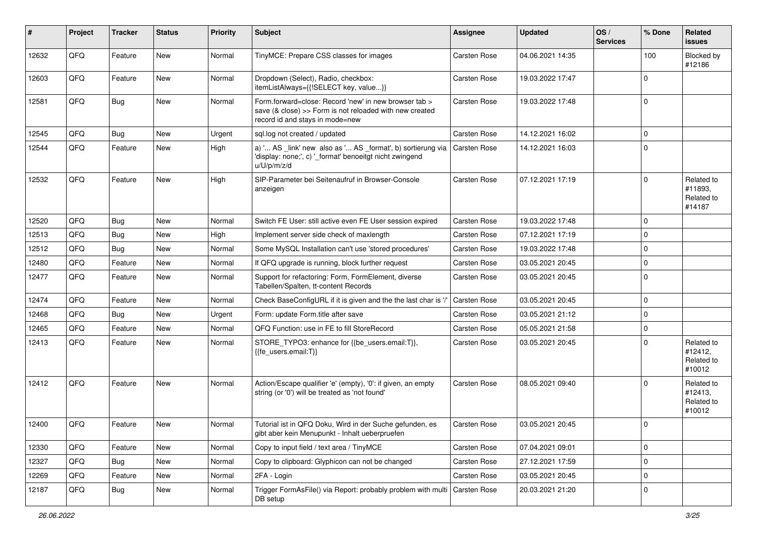| #     | Project | <b>Tracker</b> | <b>Status</b> | <b>Priority</b> | <b>Subject</b>                                                                                                                                       | <b>Assignee</b> | <b>Updated</b>   | OS/<br><b>Services</b> | % Done      | Related<br><b>issues</b>                      |
|-------|---------|----------------|---------------|-----------------|------------------------------------------------------------------------------------------------------------------------------------------------------|-----------------|------------------|------------------------|-------------|-----------------------------------------------|
| 12632 | QFQ     | Feature        | <b>New</b>    | Normal          | TinyMCE: Prepare CSS classes for images                                                                                                              | Carsten Rose    | 04.06.2021 14:35 |                        | 100         | Blocked by<br>#12186                          |
| 12603 | QFQ     | Feature        | New           | Normal          | Dropdown (Select), Radio, checkbox:<br>itemListAlways={{!SELECT key, value}}                                                                         | Carsten Rose    | 19.03.2022 17:47 |                        | $\mathbf 0$ |                                               |
| 12581 | QFQ     | <b>Bug</b>     | New           | Normal          | Form.forward=close: Record 'new' in new browser tab ><br>save (& close) >> Form is not reloaded with new created<br>record id and stays in mode=new  | Carsten Rose    | 19.03.2022 17:48 |                        | $\mathbf 0$ |                                               |
| 12545 | QFQ     | <b>Bug</b>     | <b>New</b>    | Urgent          | sql.log not created / updated                                                                                                                        | Carsten Rose    | 14.12.2021 16:02 |                        | $\mathbf 0$ |                                               |
| 12544 | QFQ     | Feature        | New           | High            | a) ' AS _link' new also as ' AS _format', b) sortierung via   Carsten Rose<br>'display: none;', c) '_format' benoeitgt nicht zwingend<br>u/U/p/m/z/d |                 | 14.12.2021 16:03 |                        | $\mathbf 0$ |                                               |
| 12532 | QFQ     | Feature        | New           | High            | SIP-Parameter bei Seitenaufruf in Browser-Console<br>anzeigen                                                                                        | Carsten Rose    | 07.12.2021 17:19 |                        | $\mathbf 0$ | Related to<br>#11893,<br>Related to<br>#14187 |
| 12520 | QFQ     | <b>Bug</b>     | New           | Normal          | Switch FE User: still active even FE User session expired                                                                                            | Carsten Rose    | 19.03.2022 17:48 |                        | $\mathbf 0$ |                                               |
| 12513 | QFQ     | <b>Bug</b>     | <b>New</b>    | High            | Implement server side check of maxlength                                                                                                             | Carsten Rose    | 07.12.2021 17:19 |                        | $\Omega$    |                                               |
| 12512 | QFQ     | <b>Bug</b>     | <b>New</b>    | Normal          | Some MySQL Installation can't use 'stored procedures'                                                                                                | Carsten Rose    | 19.03.2022 17:48 |                        | $\mathbf 0$ |                                               |
| 12480 | QFQ     | Feature        | New           | Normal          | If QFQ upgrade is running, block further request                                                                                                     | Carsten Rose    | 03.05.2021 20:45 |                        | $\mathbf 0$ |                                               |
| 12477 | QFQ     | Feature        | New           | Normal          | Support for refactoring: Form, FormElement, diverse<br>Tabellen/Spalten, tt-content Records                                                          | Carsten Rose    | 03.05.2021 20:45 |                        | $\Omega$    |                                               |
| 12474 | QFQ     | Feature        | New           | Normal          | Check BaseConfigURL if it is given and the the last char is '/'                                                                                      | Carsten Rose    | 03.05.2021 20:45 |                        | $\mathbf 0$ |                                               |
| 12468 | QFQ     | <b>Bug</b>     | <b>New</b>    | Urgent          | Form: update Form.title after save                                                                                                                   | Carsten Rose    | 03.05.2021 21:12 |                        | $\mathbf 0$ |                                               |
| 12465 | QFQ     | Feature        | New           | Normal          | QFQ Function: use in FE to fill StoreRecord                                                                                                          | Carsten Rose    | 05.05.2021 21:58 |                        | $\pmb{0}$   |                                               |
| 12413 | QFQ     | Feature        | New           | Normal          | STORE_TYPO3: enhance for {{be_users.email:T}},<br>{{fe_users.email:T}}                                                                               | Carsten Rose    | 03.05.2021 20:45 |                        | $\mathbf 0$ | Related to<br>#12412,<br>Related to<br>#10012 |
| 12412 | QFQ     | Feature        | New           | Normal          | Action/Escape qualifier 'e' (empty), '0': if given, an empty<br>string (or '0') will be treated as 'not found'                                       | Carsten Rose    | 08.05.2021 09:40 |                        | $\mathbf 0$ | Related to<br>#12413,<br>Related to<br>#10012 |
| 12400 | QFQ     | Feature        | New           | Normal          | Tutorial ist in QFQ Doku, Wird in der Suche gefunden, es<br>gibt aber kein Menupunkt - Inhalt ueberpruefen                                           | Carsten Rose    | 03.05.2021 20:45 |                        | $\mathbf 0$ |                                               |
| 12330 | QFQ     | Feature        | New           | Normal          | Copy to input field / text area / TinyMCE                                                                                                            | Carsten Rose    | 07.04.2021 09:01 |                        | $\pmb{0}$   |                                               |
| 12327 | QFQ     | <b>Bug</b>     | New           | Normal          | Copy to clipboard: Glyphicon can not be changed                                                                                                      | Carsten Rose    | 27.12.2021 17:59 |                        | $\pmb{0}$   |                                               |
| 12269 | QFQ     | Feature        | New           | Normal          | 2FA - Login                                                                                                                                          | Carsten Rose    | 03.05.2021 20:45 |                        | $\pmb{0}$   |                                               |
| 12187 | QFQ     | <b>Bug</b>     | New           | Normal          | Trigger FormAsFile() via Report: probably problem with multi<br>DB setup                                                                             | Carsten Rose    | 20.03.2021 21:20 |                        | $\pmb{0}$   |                                               |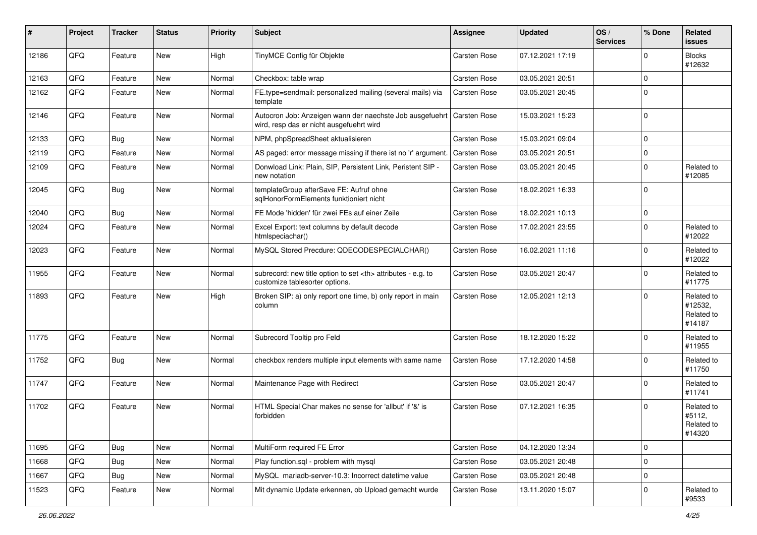| #     | Project | <b>Tracker</b> | <b>Status</b> | <b>Priority</b> | <b>Subject</b>                                                                                                      | Assignee                                               | <b>Updated</b>   | OS/<br><b>Services</b> | % Done      | Related<br>issues                             |                      |
|-------|---------|----------------|---------------|-----------------|---------------------------------------------------------------------------------------------------------------------|--------------------------------------------------------|------------------|------------------------|-------------|-----------------------------------------------|----------------------|
| 12186 | QFQ     | Feature        | New           | High            | TinyMCE Config für Objekte                                                                                          | <b>Carsten Rose</b>                                    | 07.12.2021 17:19 |                        | $\Omega$    | <b>Blocks</b><br>#12632                       |                      |
| 12163 | QFQ     | Feature        | New           | Normal          | Checkbox: table wrap                                                                                                | Carsten Rose                                           | 03.05.2021 20:51 |                        | $\Omega$    |                                               |                      |
| 12162 | QFQ     | Feature        | New           | Normal          | FE.type=sendmail: personalized mailing (several mails) via<br>template                                              | Carsten Rose                                           | 03.05.2021 20:45 |                        | $\Omega$    |                                               |                      |
| 12146 | QFQ     | Feature        | New           | Normal          | Autocron Job: Anzeigen wann der naechste Job ausgefuehrt   Carsten Rose<br>wird, resp das er nicht ausgefuehrt wird |                                                        | 15.03.2021 15:23 |                        | $\Omega$    |                                               |                      |
| 12133 | QFQ     | Bug            | New           | Normal          | NPM, phpSpreadSheet aktualisieren                                                                                   | Carsten Rose                                           | 15.03.2021 09:04 |                        | $\Omega$    |                                               |                      |
| 12119 | QFQ     | Feature        | <b>New</b>    | Normal          | AS paged: error message missing if there ist no 'r' argument.                                                       | Carsten Rose                                           | 03.05.2021 20:51 |                        | $\Omega$    |                                               |                      |
| 12109 | QFQ     | Feature        | New           | Normal          | Donwload Link: Plain, SIP, Persistent Link, Peristent SIP -<br>new notation                                         | Carsten Rose                                           | 03.05.2021 20:45 |                        | $\Omega$    | Related to<br>#12085                          |                      |
| 12045 | QFQ     | <b>Bug</b>     | New           | Normal          | templateGroup afterSave FE: Aufruf ohne<br>sglHonorFormElements funktioniert nicht                                  | Carsten Rose                                           | 18.02.2021 16:33 |                        | $\Omega$    |                                               |                      |
| 12040 | QFQ     | Bug            | New           | Normal          | FE Mode 'hidden' für zwei FEs auf einer Zeile                                                                       | Carsten Rose                                           | 18.02.2021 10:13 |                        | $\Omega$    |                                               |                      |
| 12024 | QFQ     | Feature        | New           | Normal          | Excel Export: text columns by default decode<br>htmlspeciachar()                                                    | Carsten Rose                                           | 17.02.2021 23:55 |                        | $\Omega$    | Related to<br>#12022                          |                      |
| 12023 | QFQ     | Feature        | New           | Normal          | MySQL Stored Precdure: QDECODESPECIALCHAR()                                                                         | Carsten Rose                                           | 16.02.2021 11:16 |                        | $\Omega$    | Related to<br>#12022                          |                      |
| 11955 | QFQ     | Feature        | New           | Normal          | subrecord: new title option to set <th> attributes - e.g. to<br/>customize tablesorter options.</th>                | attributes - e.g. to<br>customize tablesorter options. | Carsten Rose     | 03.05.2021 20:47       |             | $\Omega$                                      | Related to<br>#11775 |
| 11893 | QFQ     | Feature        | New           | High            | Broken SIP: a) only report one time, b) only report in main<br>column                                               | Carsten Rose                                           | 12.05.2021 12:13 |                        | $\Omega$    | Related to<br>#12532,<br>Related to<br>#14187 |                      |
| 11775 | QFQ     | Feature        | New           | Normal          | Subrecord Tooltip pro Feld                                                                                          | Carsten Rose                                           | 18.12.2020 15:22 |                        | $\Omega$    | Related to<br>#11955                          |                      |
| 11752 | QFQ     | <b>Bug</b>     | New           | Normal          | checkbox renders multiple input elements with same name                                                             | Carsten Rose                                           | 17.12.2020 14:58 |                        | $\Omega$    | Related to<br>#11750                          |                      |
| 11747 | QFQ     | Feature        | New           | Normal          | Maintenance Page with Redirect                                                                                      | Carsten Rose                                           | 03.05.2021 20:47 |                        | $\Omega$    | Related to<br>#11741                          |                      |
| 11702 | QFQ     | Feature        | New           | Normal          | HTML Special Char makes no sense for 'allbut' if '&' is<br>forbidden                                                | Carsten Rose                                           | 07.12.2021 16:35 |                        | $\Omega$    | Related to<br>#5112,<br>Related to<br>#14320  |                      |
| 11695 | QFQ     | <b>Bug</b>     | New           | Normal          | MultiForm required FE Error                                                                                         | Carsten Rose                                           | 04.12.2020 13:34 |                        | 0           |                                               |                      |
| 11668 | QFQ     | Bug            | New           | Normal          | Play function.sql - problem with mysql                                                                              | Carsten Rose                                           | 03.05.2021 20:48 |                        | $\mathbf 0$ |                                               |                      |
| 11667 | QFQ     | <b>Bug</b>     | New           | Normal          | MySQL mariadb-server-10.3: Incorrect datetime value                                                                 | Carsten Rose                                           | 03.05.2021 20:48 |                        | 0           |                                               |                      |
| 11523 | QFQ     | Feature        | New           | Normal          | Mit dynamic Update erkennen, ob Upload gemacht wurde                                                                | Carsten Rose                                           | 13.11.2020 15:07 |                        | 0           | Related to<br>#9533                           |                      |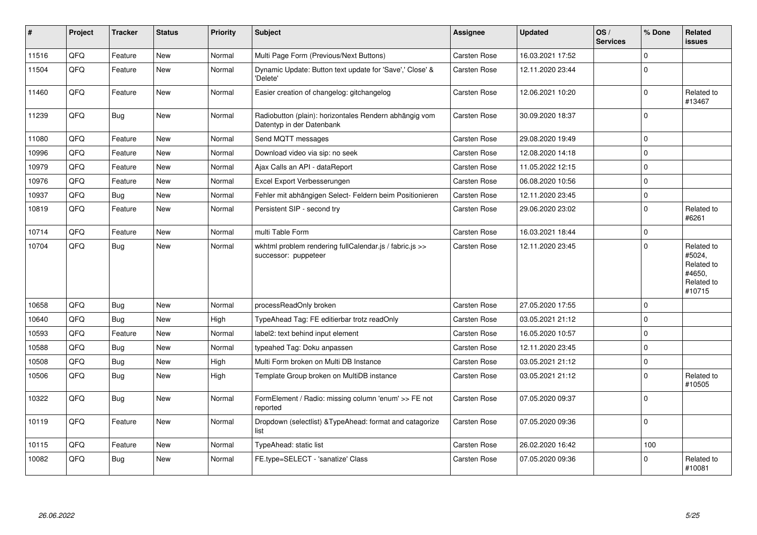| #     | Project | <b>Tracker</b> | <b>Status</b> | <b>Priority</b> | <b>Subject</b>                                                                      | <b>Assignee</b>     | <b>Updated</b>   | OS/<br><b>Services</b> | % Done      | Related<br><b>issues</b>                                             |
|-------|---------|----------------|---------------|-----------------|-------------------------------------------------------------------------------------|---------------------|------------------|------------------------|-------------|----------------------------------------------------------------------|
| 11516 | QFQ     | Feature        | New           | Normal          | Multi Page Form (Previous/Next Buttons)                                             | Carsten Rose        | 16.03.2021 17:52 |                        | $\mathbf 0$ |                                                                      |
| 11504 | QFQ     | Feature        | New           | Normal          | Dynamic Update: Button text update for 'Save',' Close' &<br>'Delete'                | Carsten Rose        | 12.11.2020 23:44 |                        | $\Omega$    |                                                                      |
| 11460 | QFQ     | Feature        | New           | Normal          | Easier creation of changelog: gitchangelog                                          | Carsten Rose        | 12.06.2021 10:20 |                        | $\mathbf 0$ | Related to<br>#13467                                                 |
| 11239 | QFQ     | Bug            | New           | Normal          | Radiobutton (plain): horizontales Rendern abhängig vom<br>Datentyp in der Datenbank | Carsten Rose        | 30.09.2020 18:37 |                        | $\mathbf 0$ |                                                                      |
| 11080 | QFQ     | Feature        | <b>New</b>    | Normal          | Send MQTT messages                                                                  | Carsten Rose        | 29.08.2020 19:49 |                        | $\mathbf 0$ |                                                                      |
| 10996 | QFQ     | Feature        | New           | Normal          | Download video via sip: no seek                                                     | Carsten Rose        | 12.08.2020 14:18 |                        | $\mathbf 0$ |                                                                      |
| 10979 | QFQ     | Feature        | New           | Normal          | Ajax Calls an API - dataReport                                                      | Carsten Rose        | 11.05.2022 12:15 |                        | $\mathbf 0$ |                                                                      |
| 10976 | QFQ     | Feature        | New           | Normal          | Excel Export Verbesserungen                                                         | <b>Carsten Rose</b> | 06.08.2020 10:56 |                        | $\Omega$    |                                                                      |
| 10937 | QFQ     | Bug            | New           | Normal          | Fehler mit abhängigen Select- Feldern beim Positionieren                            | <b>Carsten Rose</b> | 12.11.2020 23:45 |                        | $\mathbf 0$ |                                                                      |
| 10819 | QFQ     | Feature        | <b>New</b>    | Normal          | Persistent SIP - second try                                                         | Carsten Rose        | 29.06.2020 23:02 |                        | $\mathbf 0$ | Related to<br>#6261                                                  |
| 10714 | QFQ     | Feature        | <b>New</b>    | Normal          | multi Table Form                                                                    | Carsten Rose        | 16.03.2021 18:44 |                        | $\pmb{0}$   |                                                                      |
| 10704 | QFQ     | Bug            | New           | Normal          | wkhtml problem rendering fullCalendar.js / fabric.js >><br>successor: puppeteer     | <b>Carsten Rose</b> | 12.11.2020 23:45 |                        | $\Omega$    | Related to<br>#5024,<br>Related to<br>#4650,<br>Related to<br>#10715 |
| 10658 | QFQ     | <b>Bug</b>     | New           | Normal          | processReadOnly broken                                                              | Carsten Rose        | 27.05.2020 17:55 |                        | $\pmb{0}$   |                                                                      |
| 10640 | QFQ     | Bug            | New           | High            | TypeAhead Tag: FE editierbar trotz readOnly                                         | Carsten Rose        | 03.05.2021 21:12 |                        | $\mathbf 0$ |                                                                      |
| 10593 | QFQ     | Feature        | New           | Normal          | label2: text behind input element                                                   | Carsten Rose        | 16.05.2020 10:57 |                        | $\mathbf 0$ |                                                                      |
| 10588 | QFQ     | <b>Bug</b>     | New           | Normal          | typeahed Tag: Doku anpassen                                                         | Carsten Rose        | 12.11.2020 23:45 |                        | $\mathbf 0$ |                                                                      |
| 10508 | QFQ     | Bug            | <b>New</b>    | High            | Multi Form broken on Multi DB Instance                                              | Carsten Rose        | 03.05.2021 21:12 |                        | $\mathbf 0$ |                                                                      |
| 10506 | QFQ     | Bug            | <b>New</b>    | High            | Template Group broken on MultiDB instance                                           | Carsten Rose        | 03.05.2021 21:12 |                        | $\mathbf 0$ | Related to<br>#10505                                                 |
| 10322 | QFQ     | Bug            | New           | Normal          | FormElement / Radio: missing column 'enum' >> FE not<br>reported                    | <b>Carsten Rose</b> | 07.05.2020 09:37 |                        | $\mathbf 0$ |                                                                      |
| 10119 | QFQ     | Feature        | <b>New</b>    | Normal          | Dropdown (selectlist) & TypeAhead: format and catagorize<br>list                    | Carsten Rose        | 07.05.2020 09:36 |                        | $\mathbf 0$ |                                                                      |
| 10115 | QFQ     | Feature        | New           | Normal          | TypeAhead: static list                                                              | Carsten Rose        | 26.02.2020 16:42 |                        | 100         |                                                                      |
| 10082 | QFQ     | <b>Bug</b>     | New           | Normal          | FE.type=SELECT - 'sanatize' Class                                                   | <b>Carsten Rose</b> | 07.05.2020 09:36 |                        | $\mathbf 0$ | Related to<br>#10081                                                 |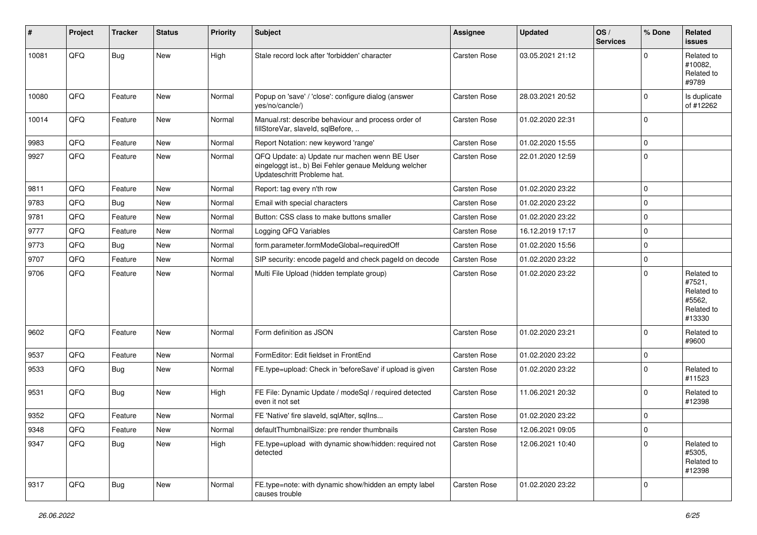| #     | Project | <b>Tracker</b> | <b>Status</b> | <b>Priority</b> | <b>Subject</b>                                                                                                                        | <b>Assignee</b>     | <b>Updated</b>   | OS/<br><b>Services</b> | % Done      | Related<br>issues                                                    |
|-------|---------|----------------|---------------|-----------------|---------------------------------------------------------------------------------------------------------------------------------------|---------------------|------------------|------------------------|-------------|----------------------------------------------------------------------|
| 10081 | QFQ     | <b>Bug</b>     | New           | High            | Stale record lock after 'forbidden' character                                                                                         | <b>Carsten Rose</b> | 03.05.2021 21:12 |                        | $\Omega$    | Related to<br>#10082.<br>Related to<br>#9789                         |
| 10080 | QFQ     | Feature        | New           | Normal          | Popup on 'save' / 'close': configure dialog (answer<br>yes/no/cancle/)                                                                | <b>Carsten Rose</b> | 28.03.2021 20:52 |                        | $\mathbf 0$ | Is duplicate<br>of #12262                                            |
| 10014 | QFQ     | Feature        | New           | Normal          | Manual.rst: describe behaviour and process order of<br>fillStoreVar, slaveId, sqlBefore,                                              | <b>Carsten Rose</b> | 01.02.2020 22:31 |                        | $\mathbf 0$ |                                                                      |
| 9983  | QFQ     | Feature        | New           | Normal          | Report Notation: new keyword 'range'                                                                                                  | <b>Carsten Rose</b> | 01.02.2020 15:55 |                        | $\pmb{0}$   |                                                                      |
| 9927  | QFQ     | Feature        | New           | Normal          | QFQ Update: a) Update nur machen wenn BE User<br>eingeloggt ist., b) Bei Fehler genaue Meldung welcher<br>Updateschritt Probleme hat. | <b>Carsten Rose</b> | 22.01.2020 12:59 |                        | $\mathbf 0$ |                                                                      |
| 9811  | QFQ     | Feature        | New           | Normal          | Report: tag every n'th row                                                                                                            | Carsten Rose        | 01.02.2020 23:22 |                        | $\mathbf 0$ |                                                                      |
| 9783  | QFQ     | <b>Bug</b>     | New           | Normal          | Email with special characters                                                                                                         | <b>Carsten Rose</b> | 01.02.2020 23:22 |                        | $\pmb{0}$   |                                                                      |
| 9781  | QFQ     | Feature        | New           | Normal          | Button: CSS class to make buttons smaller                                                                                             | <b>Carsten Rose</b> | 01.02.2020 23:22 |                        | $\mathbf 0$ |                                                                      |
| 9777  | QFQ     | Feature        | New           | Normal          | Logging QFQ Variables                                                                                                                 | <b>Carsten Rose</b> | 16.12.2019 17:17 |                        | $\pmb{0}$   |                                                                      |
| 9773  | QFQ     | Bug            | New           | Normal          | form.parameter.formModeGlobal=requiredOff                                                                                             | Carsten Rose        | 01.02.2020 15:56 |                        | $\pmb{0}$   |                                                                      |
| 9707  | QFQ     | Feature        | New           | Normal          | SIP security: encode pageld and check pageld on decode                                                                                | <b>Carsten Rose</b> | 01.02.2020 23:22 |                        | $\pmb{0}$   |                                                                      |
| 9706  | QFQ     | Feature        | New           | Normal          | Multi File Upload (hidden template group)                                                                                             | Carsten Rose        | 01.02.2020 23:22 |                        | $\mathbf 0$ | Related to<br>#7521,<br>Related to<br>#5562,<br>Related to<br>#13330 |
| 9602  | QFQ     | Feature        | New           | Normal          | Form definition as JSON                                                                                                               | <b>Carsten Rose</b> | 01.02.2020 23:21 |                        | $\mathbf 0$ | Related to<br>#9600                                                  |
| 9537  | QFQ     | Feature        | New           | Normal          | FormEditor: Edit fieldset in FrontEnd                                                                                                 | Carsten Rose        | 01.02.2020 23:22 |                        | $\mathbf 0$ |                                                                      |
| 9533  | QFQ     | <b>Bug</b>     | New           | Normal          | FE.type=upload: Check in 'beforeSave' if upload is given                                                                              | <b>Carsten Rose</b> | 01.02.2020 23:22 |                        | $\mathbf 0$ | Related to<br>#11523                                                 |
| 9531  | QFQ     | <b>Bug</b>     | New           | High            | FE File: Dynamic Update / modeSql / required detected<br>even it not set                                                              | <b>Carsten Rose</b> | 11.06.2021 20:32 |                        | $\mathbf 0$ | Related to<br>#12398                                                 |
| 9352  | QFQ     | Feature        | New           | Normal          | FE 'Native' fire slaveld, sqlAfter, sqlIns                                                                                            | <b>Carsten Rose</b> | 01.02.2020 23:22 |                        | $\mathbf 0$ |                                                                      |
| 9348  | QFG     | Feature        | New           | Normal          | defaultThumbnailSize: pre render thumbnails                                                                                           | Carsten Rose        | 12.06.2021 09:05 |                        | 0           |                                                                      |
| 9347  | QFQ     | Bug            | New           | High            | FE.type=upload with dynamic show/hidden: required not<br>detected                                                                     | Carsten Rose        | 12.06.2021 10:40 |                        | $\Omega$    | Related to<br>#5305,<br>Related to<br>#12398                         |
| 9317  | QFQ     | <b>Bug</b>     | New           | Normal          | FE.type=note: with dynamic show/hidden an empty label<br>causes trouble                                                               | Carsten Rose        | 01.02.2020 23:22 |                        | 0           |                                                                      |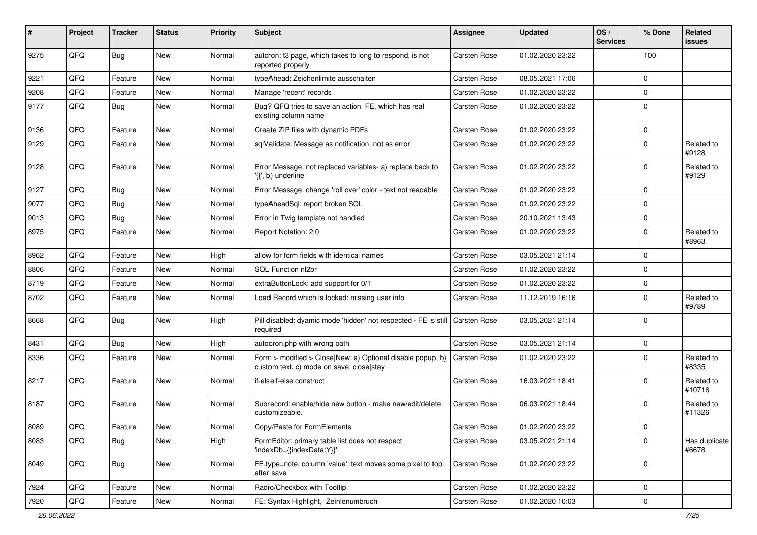| #    | Project | <b>Tracker</b> | <b>Status</b> | <b>Priority</b> | <b>Subject</b>                                                                                         | <b>Assignee</b>     | <b>Updated</b>   | OS/<br><b>Services</b> | % Done      | Related<br>issues      |
|------|---------|----------------|---------------|-----------------|--------------------------------------------------------------------------------------------------------|---------------------|------------------|------------------------|-------------|------------------------|
| 9275 | QFQ     | <b>Bug</b>     | New           | Normal          | autcron: t3 page, which takes to long to respond, is not<br>reported properly                          | <b>Carsten Rose</b> | 01.02.2020 23:22 |                        | 100         |                        |
| 9221 | QFQ     | Feature        | <b>New</b>    | Normal          | typeAhead: Zeichenlimite ausschalten                                                                   | Carsten Rose        | 08.05.2021 17:06 |                        | $\mathbf 0$ |                        |
| 9208 | QFQ     | Feature        | <b>New</b>    | Normal          | Manage 'recent' records                                                                                | <b>Carsten Rose</b> | 01.02.2020 23:22 |                        | $\mathbf 0$ |                        |
| 9177 | QFQ     | Bug            | New           | Normal          | Bug? QFQ tries to save an action FE, which has real<br>existing column name                            | Carsten Rose        | 01.02.2020 23:22 |                        | $\Omega$    |                        |
| 9136 | QFQ     | Feature        | <b>New</b>    | Normal          | Create ZIP files with dynamic PDFs                                                                     | Carsten Rose        | 01.02.2020 23:22 |                        | $\mathbf 0$ |                        |
| 9129 | QFQ     | Feature        | New           | Normal          | sqlValidate: Message as notification, not as error                                                     | Carsten Rose        | 01.02.2020 23:22 |                        | $\Omega$    | Related to<br>#9128    |
| 9128 | QFQ     | Feature        | New           | Normal          | Error Message: not replaced variables- a) replace back to<br>'{{', b) underline                        | <b>Carsten Rose</b> | 01.02.2020 23:22 |                        | $\mathbf 0$ | Related to<br>#9129    |
| 9127 | QFQ     | Bug            | New           | Normal          | Error Message: change 'roll over' color - text not readable                                            | <b>Carsten Rose</b> | 01.02.2020 23:22 |                        | $\mathbf 0$ |                        |
| 9077 | QFQ     | <b>Bug</b>     | New           | Normal          | typeAheadSql: report broken SQL                                                                        | Carsten Rose        | 01.02.2020 23:22 |                        | $\mathbf 0$ |                        |
| 9013 | QFQ     | <b>Bug</b>     | <b>New</b>    | Normal          | Error in Twig template not handled                                                                     | Carsten Rose        | 20.10.2021 13:43 |                        | 0           |                        |
| 8975 | QFQ     | Feature        | <b>New</b>    | Normal          | Report Notation: 2.0                                                                                   | Carsten Rose        | 01.02.2020 23:22 |                        | $\mathbf 0$ | Related to<br>#8963    |
| 8962 | QFQ     | Feature        | New           | High            | allow for form fields with identical names                                                             | <b>Carsten Rose</b> | 03.05.2021 21:14 |                        | $\mathbf 0$ |                        |
| 8806 | QFQ     | Feature        | New           | Normal          | SQL Function nl2br                                                                                     | Carsten Rose        | 01.02.2020 23:22 |                        | $\mathbf 0$ |                        |
| 8719 | QFQ     | Feature        | New           | Normal          | extraButtonLock: add support for 0/1                                                                   | Carsten Rose        | 01.02.2020 23:22 |                        | $\mathbf 0$ |                        |
| 8702 | QFQ     | Feature        | <b>New</b>    | Normal          | Load Record which is locked: missing user info                                                         | Carsten Rose        | 11.12.2019 16:16 |                        | $\Omega$    | Related to<br>#9789    |
| 8668 | QFQ     | Bug            | New           | High            | Pill disabled: dyamic mode 'hidden' not respected - FE is still   Carsten Rose<br>reauired             |                     | 03.05.2021 21:14 |                        | $\mathbf 0$ |                        |
| 8431 | QFQ     | <b>Bug</b>     | New           | High            | autocron.php with wrong path                                                                           | Carsten Rose        | 03.05.2021 21:14 |                        | $\mathbf 0$ |                        |
| 8336 | QFQ     | Feature        | New           | Normal          | Form > modified > Close New: a) Optional disable popup, b)<br>custom text, c) mode on save: close stay | <b>Carsten Rose</b> | 01.02.2020 23:22 |                        | $\Omega$    | Related to<br>#8335    |
| 8217 | QFQ     | Feature        | New           | Normal          | if-elseif-else construct                                                                               | Carsten Rose        | 16.03.2021 18:41 |                        | $\Omega$    | Related to<br>#10716   |
| 8187 | QFQ     | Feature        | New           | Normal          | Subrecord: enable/hide new button - make new/edit/delete<br>customizeable.                             | <b>Carsten Rose</b> | 06.03.2021 18:44 |                        | $\Omega$    | Related to<br>#11326   |
| 8089 | QFQ     | Feature        | New           | Normal          | Copy/Paste for FormElements                                                                            | Carsten Rose        | 01.02.2020 23:22 |                        | 0           |                        |
| 8083 | QFQ     | Bug            | New           | High            | FormEditor: primary table list does not respect<br>'indexDb={{indexData:Y}}'                           | Carsten Rose        | 03.05.2021 21:14 |                        | $\mathbf 0$ | Has duplicate<br>#6678 |
| 8049 | QFQ     | Bug            | New           | Normal          | FE.type=note, column 'value': text moves some pixel to top<br>after save                               | Carsten Rose        | 01.02.2020 23:22 |                        | $\mathbf 0$ |                        |
| 7924 | QFQ     | Feature        | New           | Normal          | Radio/Checkbox with Tooltip                                                                            | Carsten Rose        | 01.02.2020 23:22 |                        | $\mathbf 0$ |                        |
| 7920 | QFQ     | Feature        | New           | Normal          | FE: Syntax Highlight, Zeinlenumbruch                                                                   | Carsten Rose        | 01.02.2020 10:03 |                        | $\mathbf 0$ |                        |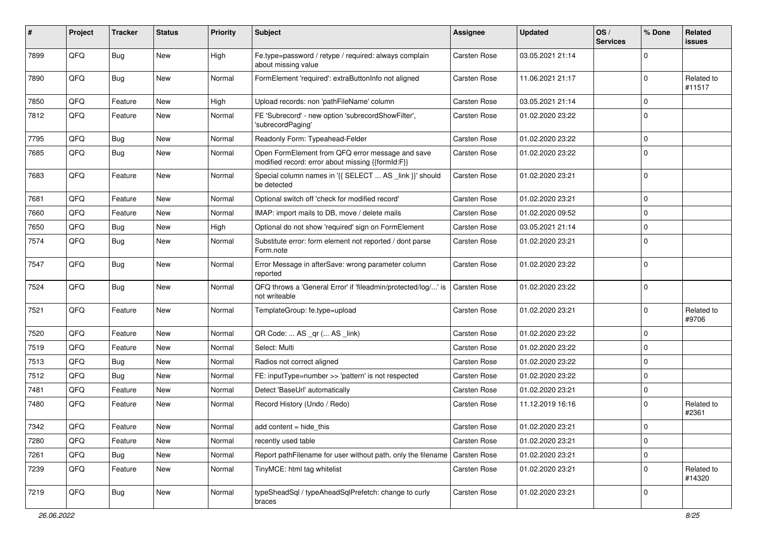| #    | Project | <b>Tracker</b> | <b>Status</b> | <b>Priority</b> | Subject                                                                                               | <b>Assignee</b> | <b>Updated</b>   | OS/<br><b>Services</b> | % Done      | Related<br>issues    |
|------|---------|----------------|---------------|-----------------|-------------------------------------------------------------------------------------------------------|-----------------|------------------|------------------------|-------------|----------------------|
| 7899 | QFQ     | <b>Bug</b>     | New           | High            | Fe.type=password / retype / required: always complain<br>about missing value                          | Carsten Rose    | 03.05.2021 21:14 |                        | $\Omega$    |                      |
| 7890 | QFQ     | Bug            | New           | Normal          | FormElement 'required': extraButtonInfo not aligned                                                   | Carsten Rose    | 11.06.2021 21:17 |                        | $\Omega$    | Related to<br>#11517 |
| 7850 | QFQ     | Feature        | New           | High            | Upload records: non 'pathFileName' column                                                             | Carsten Rose    | 03.05.2021 21:14 |                        | $\Omega$    |                      |
| 7812 | QFQ     | Feature        | New           | Normal          | FE 'Subrecord' - new option 'subrecordShowFilter',<br>'subrecordPaging'                               | Carsten Rose    | 01.02.2020 23:22 |                        | $\mathbf 0$ |                      |
| 7795 | QFQ     | Bug            | New           | Normal          | Readonly Form: Typeahead-Felder                                                                       | Carsten Rose    | 01.02.2020 23:22 |                        | $\Omega$    |                      |
| 7685 | QFQ     | Bug            | New           | Normal          | Open FormElement from QFQ error message and save<br>modified record: error about missing {{formId:F}} | Carsten Rose    | 01.02.2020 23:22 |                        | $\mathbf 0$ |                      |
| 7683 | QFQ     | Feature        | New           | Normal          | Special column names in '{{ SELECT  AS _link }}' should<br>be detected                                | Carsten Rose    | 01.02.2020 23:21 |                        | $\Omega$    |                      |
| 7681 | QFQ     | Feature        | New           | Normal          | Optional switch off 'check for modified record'                                                       | Carsten Rose    | 01.02.2020 23:21 |                        | $\mathbf 0$ |                      |
| 7660 | QFQ     | Feature        | New           | Normal          | IMAP: import mails to DB, move / delete mails                                                         | Carsten Rose    | 01.02.2020 09:52 |                        | $\Omega$    |                      |
| 7650 | QFQ     | <b>Bug</b>     | New           | High            | Optional do not show 'required' sign on FormElement                                                   | Carsten Rose    | 03.05.2021 21:14 |                        | $\mathbf 0$ |                      |
| 7574 | QFQ     | <b>Bug</b>     | New           | Normal          | Substitute error: form element not reported / dont parse<br>Form.note                                 | Carsten Rose    | 01.02.2020 23:21 |                        | $\Omega$    |                      |
| 7547 | QFQ     | <b>Bug</b>     | New           | Normal          | Error Message in afterSave: wrong parameter column<br>reported                                        | Carsten Rose    | 01.02.2020 23:22 |                        | $\mathbf 0$ |                      |
| 7524 | QFQ     | Bug            | New           | Normal          | QFQ throws a 'General Error' if 'fileadmin/protected/log/' is<br>not writeable                        | Carsten Rose    | 01.02.2020 23:22 |                        | $\Omega$    |                      |
| 7521 | QFQ     | Feature        | New           | Normal          | TemplateGroup: fe.type=upload                                                                         | Carsten Rose    | 01.02.2020 23:21 |                        | $\Omega$    | Related to<br>#9706  |
| 7520 | QFQ     | Feature        | New           | Normal          | QR Code:  AS _qr ( AS _link)                                                                          | Carsten Rose    | 01.02.2020 23:22 |                        | $\Omega$    |                      |
| 7519 | QFQ     | Feature        | New           | Normal          | Select: Multi                                                                                         | Carsten Rose    | 01.02.2020 23:22 |                        | $\Omega$    |                      |
| 7513 | QFQ     | <b>Bug</b>     | New           | Normal          | Radios not correct aligned                                                                            | Carsten Rose    | 01.02.2020 23:22 |                        | $\mathbf 0$ |                      |
| 7512 | QFQ     | <b>Bug</b>     | New           | Normal          | FE: inputType=number >> 'pattern' is not respected                                                    | Carsten Rose    | 01.02.2020 23:22 |                        | $\Omega$    |                      |
| 7481 | QFQ     | Feature        | New           | Normal          | Detect 'BaseUrl' automatically                                                                        | Carsten Rose    | 01.02.2020 23:21 |                        | $\mathbf 0$ |                      |
| 7480 | QFQ     | Feature        | New           | Normal          | Record History (Undo / Redo)                                                                          | Carsten Rose    | 11.12.2019 16:16 |                        | 0           | Related to<br>#2361  |
| 7342 | QFQ     | Feature        | New           | Normal          | add content = hide_this                                                                               | Carsten Rose    | 01.02.2020 23:21 |                        | 0           |                      |
| 7280 | QFQ     | Feature        | New           | Normal          | recently used table                                                                                   | Carsten Rose    | 01.02.2020 23:21 |                        | $\mathbf 0$ |                      |
| 7261 | QFQ     | Bug            | New           | Normal          | Report pathFilename for user without path, only the filename Carsten Rose                             |                 | 01.02.2020 23:21 |                        | $\mathbf 0$ |                      |
| 7239 | QFQ     | Feature        | New           | Normal          | TinyMCE: html tag whitelist                                                                           | Carsten Rose    | 01.02.2020 23:21 |                        | $\mathbf 0$ | Related to<br>#14320 |
| 7219 | QFQ     | Bug            | New           | Normal          | typeSheadSql / typeAheadSqlPrefetch: change to curly<br>braces                                        | Carsten Rose    | 01.02.2020 23:21 |                        | 0           |                      |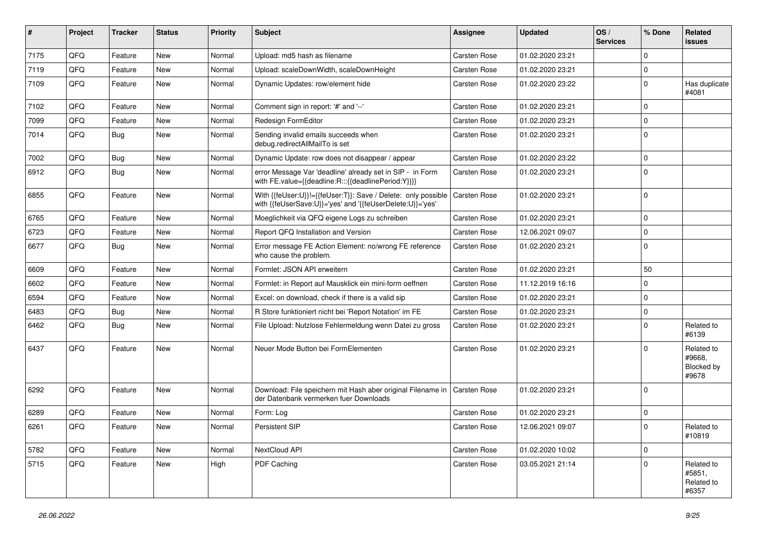| #    | Project | <b>Tracker</b> | <b>Status</b> | <b>Priority</b> | <b>Subject</b>                                                                                                             | <b>Assignee</b>     | <b>Updated</b>   | OS/<br><b>Services</b> | % Done      | Related<br>issues                           |
|------|---------|----------------|---------------|-----------------|----------------------------------------------------------------------------------------------------------------------------|---------------------|------------------|------------------------|-------------|---------------------------------------------|
| 7175 | QFQ     | Feature        | <b>New</b>    | Normal          | Upload: md5 hash as filename                                                                                               | <b>Carsten Rose</b> | 01.02.2020 23:21 |                        | $\Omega$    |                                             |
| 7119 | QFQ     | Feature        | New           | Normal          | Upload: scaleDownWidth, scaleDownHeight                                                                                    | Carsten Rose        | 01.02.2020 23:21 |                        | $\mathbf 0$ |                                             |
| 7109 | QFQ     | Feature        | New           | Normal          | Dynamic Updates: row/element hide                                                                                          | Carsten Rose        | 01.02.2020 23:22 |                        | $\mathbf 0$ | Has duplicate<br>#4081                      |
| 7102 | QFQ     | Feature        | New           | Normal          | Comment sign in report: '#' and '--'                                                                                       | Carsten Rose        | 01.02.2020 23:21 |                        | $\mathbf 0$ |                                             |
| 7099 | QFQ     | Feature        | New           | Normal          | Redesign FormEditor                                                                                                        | Carsten Rose        | 01.02.2020 23:21 |                        | $\mathbf 0$ |                                             |
| 7014 | QFQ     | <b>Bug</b>     | New           | Normal          | Sending invalid emails succeeds when<br>debug.redirectAllMailTo is set                                                     | Carsten Rose        | 01.02.2020 23:21 |                        | $\mathbf 0$ |                                             |
| 7002 | QFQ     | <b>Bug</b>     | <b>New</b>    | Normal          | Dynamic Update: row does not disappear / appear                                                                            | Carsten Rose        | 01.02.2020 23:22 |                        | $\mathbf 0$ |                                             |
| 6912 | QFQ     | <b>Bug</b>     | New           | Normal          | error Message Var 'deadline' already set in SIP - in Form<br>with FE.value={{deadline:R:::{{deadlinePeriod:Y}}}}           | Carsten Rose        | 01.02.2020 23:21 |                        | $\Omega$    |                                             |
| 6855 | QFQ     | Feature        | <b>New</b>    | Normal          | With {{feUser:U}}!={{feUser:T}}: Save / Delete: only possible<br>with {{feUserSave:U}}='yes' and '{{feUserDelete:U}}='yes' | Carsten Rose        | 01.02.2020 23:21 |                        | $\mathbf 0$ |                                             |
| 6765 | QFQ     | Feature        | New           | Normal          | Moeglichkeit via QFQ eigene Logs zu schreiben                                                                              | Carsten Rose        | 01.02.2020 23:21 |                        | $\mathbf 0$ |                                             |
| 6723 | QFQ     | Feature        | New           | Normal          | Report QFQ Installation and Version                                                                                        | Carsten Rose        | 12.06.2021 09:07 |                        | $\Omega$    |                                             |
| 6677 | QFQ     | Bug            | New           | Normal          | Error message FE Action Element: no/wrong FE reference<br>who cause the problem.                                           | Carsten Rose        | 01.02.2020 23:21 |                        | $\Omega$    |                                             |
| 6609 | QFQ     | Feature        | New           | Normal          | Formlet: JSON API erweitern                                                                                                | Carsten Rose        | 01.02.2020 23:21 |                        | 50          |                                             |
| 6602 | QFQ     | Feature        | New           | Normal          | Formlet: in Report auf Mausklick ein mini-form oeffnen                                                                     | Carsten Rose        | 11.12.2019 16:16 |                        | $\mathbf 0$ |                                             |
| 6594 | QFQ     | Feature        | <b>New</b>    | Normal          | Excel: on download, check if there is a valid sip                                                                          | Carsten Rose        | 01.02.2020 23:21 |                        | $\mathbf 0$ |                                             |
| 6483 | QFQ     | <b>Bug</b>     | New           | Normal          | R Store funktioniert nicht bei 'Report Notation' im FE                                                                     | Carsten Rose        | 01.02.2020 23:21 |                        | $\mathbf 0$ |                                             |
| 6462 | QFQ     | <b>Bug</b>     | <b>New</b>    | Normal          | File Upload: Nutzlose Fehlermeldung wenn Datei zu gross                                                                    | Carsten Rose        | 01.02.2020 23:21 |                        | $\mathbf 0$ | Related to<br>#6139                         |
| 6437 | QFQ     | Feature        | New           | Normal          | Neuer Mode Button bei FormElementen                                                                                        | Carsten Rose        | 01.02.2020 23:21 |                        | $\Omega$    | Related to<br>#9668.<br>Blocked by<br>#9678 |
| 6292 | QFQ     | Feature        | New           | Normal          | Download: File speichern mit Hash aber original Filename in   Carsten Rose<br>der Datenbank vermerken fuer Downloads       |                     | 01.02.2020 23:21 |                        | $\mathbf 0$ |                                             |
| 6289 | QFQ     | Feature        | New           | Normal          | Form: Log                                                                                                                  | Carsten Rose        | 01.02.2020 23:21 |                        | $\mathbf 0$ |                                             |
| 6261 | QFQ     | Feature        | New           | Normal          | Persistent SIP                                                                                                             | Carsten Rose        | 12.06.2021 09:07 |                        | $\Omega$    | Related to<br>#10819                        |
| 5782 | QFQ     | Feature        | New           | Normal          | NextCloud API                                                                                                              | Carsten Rose        | 01.02.2020 10:02 |                        | $\mathbf 0$ |                                             |
| 5715 | QFQ     | Feature        | New           | High            | PDF Caching                                                                                                                | Carsten Rose        | 03.05.2021 21:14 |                        | $\mathbf 0$ | Related to<br>#5851,<br>Related to<br>#6357 |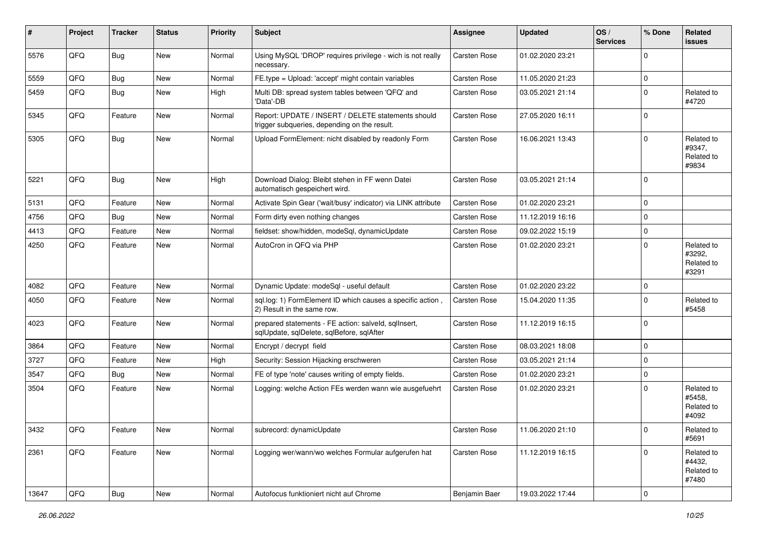| #     | Project | <b>Tracker</b> | <b>Status</b> | <b>Priority</b> | <b>Subject</b>                                                                                     | <b>Assignee</b>     | <b>Updated</b>   | OS/<br><b>Services</b> | % Done              | <b>Related</b><br>issues                    |
|-------|---------|----------------|---------------|-----------------|----------------------------------------------------------------------------------------------------|---------------------|------------------|------------------------|---------------------|---------------------------------------------|
| 5576  | QFQ     | Bug            | <b>New</b>    | Normal          | Using MySQL 'DROP' requires privilege - wich is not really<br>necessary.                           | <b>Carsten Rose</b> | 01.02.2020 23:21 |                        | $\Omega$            |                                             |
| 5559  | QFQ     | Bug            | <b>New</b>    | Normal          | FE.type = Upload: 'accept' might contain variables                                                 | Carsten Rose        | 11.05.2020 21:23 |                        | $\mathbf 0$         |                                             |
| 5459  | QFQ     | <b>Bug</b>     | New           | High            | Multi DB: spread system tables between 'QFQ' and<br>'Data'-DB                                      | Carsten Rose        | 03.05.2021 21:14 |                        | $\mathbf 0$         | Related to<br>#4720                         |
| 5345  | QFQ     | Feature        | New           | Normal          | Report: UPDATE / INSERT / DELETE statements should<br>trigger subqueries, depending on the result. | Carsten Rose        | 27.05.2020 16:11 |                        | $\mathbf 0$         |                                             |
| 5305  | QFQ     | <b>Bug</b>     | New           | Normal          | Upload FormElement: nicht disabled by readonly Form                                                | Carsten Rose        | 16.06.2021 13:43 |                        | $\Omega$            | Related to<br>#9347,<br>Related to<br>#9834 |
| 5221  | QFQ     | <b>Bug</b>     | <b>New</b>    | High            | Download Dialog: Bleibt stehen in FF wenn Datei<br>automatisch gespeichert wird.                   | Carsten Rose        | 03.05.2021 21:14 |                        | $\Omega$            |                                             |
| 5131  | QFQ     | Feature        | New           | Normal          | Activate Spin Gear ('wait/busy' indicator) via LINK attribute                                      | Carsten Rose        | 01.02.2020 23:21 |                        | $\Omega$            |                                             |
| 4756  | QFQ     | <b>Bug</b>     | <b>New</b>    | Normal          | Form dirty even nothing changes                                                                    | <b>Carsten Rose</b> | 11.12.2019 16:16 |                        | $\mathbf 0$         |                                             |
| 4413  | QFQ     | Feature        | New           | Normal          | fieldset: show/hidden, modeSql, dynamicUpdate                                                      | Carsten Rose        | 09.02.2022 15:19 |                        | $\mathbf 0$         |                                             |
| 4250  | QFQ     | Feature        | New           | Normal          | AutoCron in QFQ via PHP                                                                            | Carsten Rose        | 01.02.2020 23:21 |                        | $\Omega$            | Related to<br>#3292.<br>Related to<br>#3291 |
| 4082  | QFQ     | Feature        | New           | Normal          | Dynamic Update: modeSql - useful default                                                           | Carsten Rose        | 01.02.2020 23:22 |                        | $\mathbf 0$         |                                             |
| 4050  | QFQ     | Feature        | New           | Normal          | sql.log: 1) FormElement ID which causes a specific action.<br>2) Result in the same row.           | Carsten Rose        | 15.04.2020 11:35 |                        | $\Omega$            | Related to<br>#5458                         |
| 4023  | QFQ     | Feature        | New           | Normal          | prepared statements - FE action: salveld, sqlInsert,<br>sqlUpdate, sqlDelete, sqlBefore, sqlAfter  | Carsten Rose        | 11.12.2019 16:15 |                        | $\mathbf 0$         |                                             |
| 3864  | QFQ     | Feature        | <b>New</b>    | Normal          | Encrypt / decrypt field                                                                            | Carsten Rose        | 08.03.2021 18:08 |                        | $\mathbf 0$         |                                             |
| 3727  | QFQ     | Feature        | New           | High            | Security: Session Hijacking erschweren                                                             | Carsten Rose        | 03.05.2021 21:14 |                        | $\mathbf 0$         |                                             |
| 3547  | QFQ     | Bug            | New           | Normal          | FE of type 'note' causes writing of empty fields.                                                  | Carsten Rose        | 01.02.2020 23:21 |                        | $\mathbf 0$         |                                             |
| 3504  | QFQ     | Feature        | New           | Normal          | Logging: welche Action FEs werden wann wie ausgefuehrt                                             | Carsten Rose        | 01.02.2020 23:21 |                        | $\mathbf 0$         | Related to<br>#5458,<br>Related to<br>#4092 |
| 3432  | QFQ     | Feature        | New           | Normal          | subrecord: dynamicUpdate                                                                           | Carsten Rose        | 11.06.2020 21:10 |                        | O                   | Related to<br>#5691                         |
| 2361  | QFQ     | Feature        | New           | Normal          | Logging wer/wann/wo welches Formular aufgerufen hat                                                | Carsten Rose        | 11.12.2019 16:15 |                        | $\mathbf 0$         | Related to<br>#4432,<br>Related to<br>#7480 |
| 13647 | QFQ     | Bug            | New           | Normal          | Autofocus funktioniert nicht auf Chrome                                                            | Benjamin Baer       | 19.03.2022 17:44 |                        | $\mathsf{O}\xspace$ |                                             |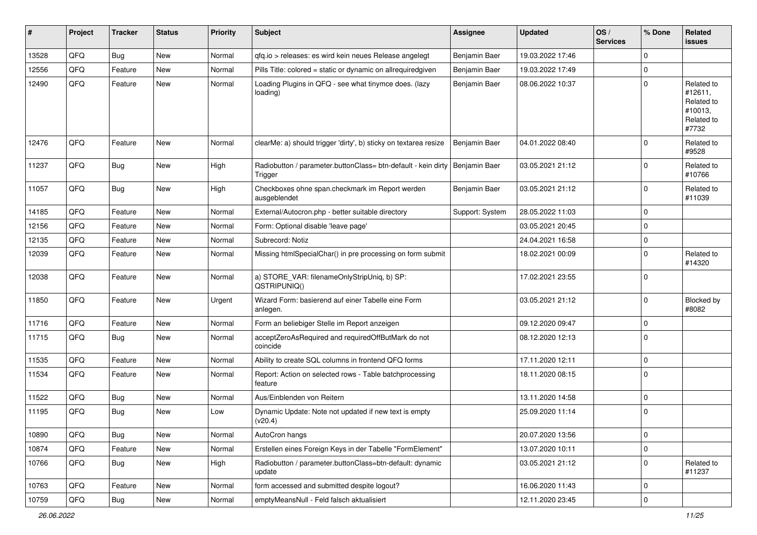| #     | Project | <b>Tracker</b> | <b>Status</b> | <b>Priority</b> | <b>Subject</b>                                                           | <b>Assignee</b> | <b>Updated</b>   | OS/<br><b>Services</b> | % Done      | Related<br>issues                                                     |
|-------|---------|----------------|---------------|-----------------|--------------------------------------------------------------------------|-----------------|------------------|------------------------|-------------|-----------------------------------------------------------------------|
| 13528 | QFQ     | <b>Bug</b>     | <b>New</b>    | Normal          | gfg.io > releases: es wird kein neues Release angelegt                   | Benjamin Baer   | 19.03.2022 17:46 |                        | $\Omega$    |                                                                       |
| 12556 | QFQ     | Feature        | New           | Normal          | Pills Title: colored = static or dynamic on allrequiredgiven             | Benjamin Baer   | 19.03.2022 17:49 |                        | $\Omega$    |                                                                       |
| 12490 | QFQ     | Feature        | New           | Normal          | Loading Plugins in QFQ - see what tinymce does. (lazy<br>loading)        | Benjamin Baer   | 08.06.2022 10:37 |                        | $\Omega$    | Related to<br>#12611,<br>Related to<br>#10013,<br>Related to<br>#7732 |
| 12476 | QFQ     | Feature        | New           | Normal          | clearMe: a) should trigger 'dirty', b) sticky on textarea resize         | Benjamin Baer   | 04.01.2022 08:40 |                        | $\Omega$    | Related to<br>#9528                                                   |
| 11237 | QFQ     | <b>Bug</b>     | <b>New</b>    | High            | Radiobutton / parameter.buttonClass= btn-default - kein dirty<br>Trigger | Benjamin Baer   | 03.05.2021 21:12 |                        | $\Omega$    | Related to<br>#10766                                                  |
| 11057 | QFQ     | <b>Bug</b>     | <b>New</b>    | High            | Checkboxes ohne span.checkmark im Report werden<br>ausgeblendet          | Benjamin Baer   | 03.05.2021 21:12 |                        | $\Omega$    | Related to<br>#11039                                                  |
| 14185 | QFQ     | Feature        | <b>New</b>    | Normal          | External/Autocron.php - better suitable directory                        | Support: System | 28.05.2022 11:03 |                        | $\Omega$    |                                                                       |
| 12156 | QFQ     | Feature        | New           | Normal          | Form: Optional disable 'leave page'                                      |                 | 03.05.2021 20:45 |                        | $\Omega$    |                                                                       |
| 12135 | QFQ     | Feature        | New           | Normal          | Subrecord: Notiz                                                         |                 | 24.04.2021 16:58 |                        | $\mathbf 0$ |                                                                       |
| 12039 | QFQ     | Feature        | <b>New</b>    | Normal          | Missing htmlSpecialChar() in pre processing on form submit               |                 | 18.02.2021 00:09 |                        | $\Omega$    | Related to<br>#14320                                                  |
| 12038 | QFQ     | Feature        | <b>New</b>    | Normal          | a) STORE_VAR: filenameOnlyStripUniq, b) SP:<br>QSTRIPUNIQ()              |                 | 17.02.2021 23:55 |                        | $\Omega$    |                                                                       |
| 11850 | QFQ     | Feature        | New           | Urgent          | Wizard Form: basierend auf einer Tabelle eine Form<br>anlegen.           |                 | 03.05.2021 21:12 |                        | $\Omega$    | <b>Blocked by</b><br>#8082                                            |
| 11716 | QFQ     | Feature        | <b>New</b>    | Normal          | Form an beliebiger Stelle im Report anzeigen                             |                 | 09.12.2020 09:47 |                        | $\Omega$    |                                                                       |
| 11715 | QFQ     | Bug            | New           | Normal          | acceptZeroAsRequired and requiredOffButMark do not<br>coincide           |                 | 08.12.2020 12:13 |                        | $\Omega$    |                                                                       |
| 11535 | QFQ     | Feature        | New           | Normal          | Ability to create SQL columns in frontend QFQ forms                      |                 | 17.11.2020 12:11 |                        | $\Omega$    |                                                                       |
| 11534 | QFQ     | Feature        | New           | Normal          | Report: Action on selected rows - Table batchprocessing<br>feature       |                 | 18.11.2020 08:15 |                        | $\Omega$    |                                                                       |
| 11522 | QFQ     | <b>Bug</b>     | <b>New</b>    | Normal          | Aus/Einblenden von Reitern                                               |                 | 13.11.2020 14:58 |                        | $\Omega$    |                                                                       |
| 11195 | QFQ     | <b>Bug</b>     | New           | Low             | Dynamic Update: Note not updated if new text is empty<br>(v20.4)         |                 | 25.09.2020 11:14 |                        | $\Omega$    |                                                                       |
| 10890 | QFQ     | <b>Bug</b>     | New           | Normal          | AutoCron hangs                                                           |                 | 20.07.2020 13:56 |                        | $\mathbf 0$ |                                                                       |
| 10874 | QFQ     | Feature        | New           | Normal          | Erstellen eines Foreign Keys in der Tabelle "FormElement"                |                 | 13.07.2020 10:11 |                        | 0           |                                                                       |
| 10766 | QFQ     | <b>Bug</b>     | New           | High            | Radiobutton / parameter.buttonClass=btn-default: dynamic<br>update       |                 | 03.05.2021 21:12 |                        | 0           | Related to<br>#11237                                                  |
| 10763 | QFQ     | Feature        | New           | Normal          | form accessed and submitted despite logout?                              |                 | 16.06.2020 11:43 |                        | 0           |                                                                       |
| 10759 | QFQ     | Bug            | New           | Normal          | emptyMeansNull - Feld falsch aktualisiert                                |                 | 12.11.2020 23:45 |                        | 0           |                                                                       |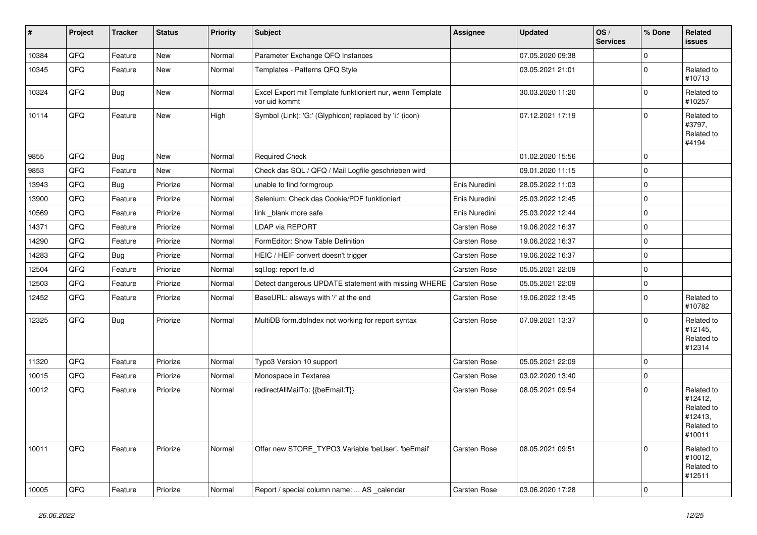| $\#$  | Project | <b>Tracker</b> | <b>Status</b> | <b>Priority</b> | Subject                                                                    | <b>Assignee</b>     | <b>Updated</b>   | OS/<br><b>Services</b> | % Done      | <b>Related</b><br><b>issues</b>                                        |
|-------|---------|----------------|---------------|-----------------|----------------------------------------------------------------------------|---------------------|------------------|------------------------|-------------|------------------------------------------------------------------------|
| 10384 | QFQ     | Feature        | <b>New</b>    | Normal          | Parameter Exchange QFQ Instances                                           |                     | 07.05.2020 09:38 |                        | $\mathbf 0$ |                                                                        |
| 10345 | QFQ     | Feature        | New           | Normal          | Templates - Patterns QFQ Style                                             |                     | 03.05.2021 21:01 |                        | $\mathbf 0$ | Related to<br>#10713                                                   |
| 10324 | QFQ     | Bug            | New           | Normal          | Excel Export mit Template funktioniert nur, wenn Template<br>vor uid kommt |                     | 30.03.2020 11:20 |                        | $\mathbf 0$ | Related to<br>#10257                                                   |
| 10114 | QFQ     | Feature        | <b>New</b>    | High            | Symbol (Link): 'G:' (Glyphicon) replaced by 'i:' (icon)                    |                     | 07.12.2021 17:19 |                        | $\mathbf 0$ | Related to<br>#3797,<br>Related to<br>#4194                            |
| 9855  | QFQ     | Bug            | <b>New</b>    | Normal          | <b>Required Check</b>                                                      |                     | 01.02.2020 15:56 |                        | $\mathbf 0$ |                                                                        |
| 9853  | QFQ     | Feature        | New           | Normal          | Check das SQL / QFQ / Mail Logfile geschrieben wird                        |                     | 09.01.2020 11:15 |                        | $\mathbf 0$ |                                                                        |
| 13943 | QFQ     | Bug            | Priorize      | Normal          | unable to find formgroup                                                   | Enis Nuredini       | 28.05.2022 11:03 |                        | $\mathbf 0$ |                                                                        |
| 13900 | QFQ     | Feature        | Priorize      | Normal          | Selenium: Check das Cookie/PDF funktioniert                                | Enis Nuredini       | 25.03.2022 12:45 |                        | $\mathbf 0$ |                                                                        |
| 10569 | QFQ     | Feature        | Priorize      | Normal          | link_blank more safe                                                       | Enis Nuredini       | 25.03.2022 12:44 |                        | $\mathbf 0$ |                                                                        |
| 14371 | QFQ     | Feature        | Priorize      | Normal          | <b>LDAP via REPORT</b>                                                     | <b>Carsten Rose</b> | 19.06.2022 16:37 |                        | $\mathbf 0$ |                                                                        |
| 14290 | QFQ     | Feature        | Priorize      | Normal          | FormEditor: Show Table Definition                                          | Carsten Rose        | 19.06.2022 16:37 |                        | $\mathbf 0$ |                                                                        |
| 14283 | QFQ     | <b>Bug</b>     | Priorize      | Normal          | HEIC / HEIF convert doesn't trigger                                        | <b>Carsten Rose</b> | 19.06.2022 16:37 |                        | $\mathbf 0$ |                                                                        |
| 12504 | QFQ     | Feature        | Priorize      | Normal          | sql.log: report fe.id                                                      | <b>Carsten Rose</b> | 05.05.2021 22:09 |                        | $\mathbf 0$ |                                                                        |
| 12503 | QFQ     | Feature        | Priorize      | Normal          | Detect dangerous UPDATE statement with missing WHERE                       | Carsten Rose        | 05.05.2021 22:09 |                        | $\mathbf 0$ |                                                                        |
| 12452 | QFQ     | Feature        | Priorize      | Normal          | BaseURL: alsways with '/' at the end                                       | Carsten Rose        | 19.06.2022 13:45 |                        | $\mathbf 0$ | Related to<br>#10782                                                   |
| 12325 | QFQ     | Bug            | Priorize      | Normal          | MultiDB form.dblndex not working for report syntax                         | Carsten Rose        | 07.09.2021 13:37 |                        | $\Omega$    | Related to<br>#12145,<br>Related to<br>#12314                          |
| 11320 | QFQ     | Feature        | Priorize      | Normal          | Typo3 Version 10 support                                                   | Carsten Rose        | 05.05.2021 22:09 |                        | $\mathbf 0$ |                                                                        |
| 10015 | QFQ     | Feature        | Priorize      | Normal          | Monospace in Textarea                                                      | Carsten Rose        | 03.02.2020 13:40 |                        | $\mathbf 0$ |                                                                        |
| 10012 | QFQ     | Feature        | Priorize      | Normal          | redirectAllMailTo: {{beEmail:T}}                                           | Carsten Rose        | 08.05.2021 09:54 |                        | $\mathbf 0$ | Related to<br>#12412,<br>Related to<br>#12413,<br>Related to<br>#10011 |
| 10011 | QFQ     | Feature        | Priorize      | Normal          | Offer new STORE_TYPO3 Variable 'beUser', 'beEmail'                         | <b>Carsten Rose</b> | 08.05.2021 09:51 |                        | $\mathbf 0$ | Related to<br>#10012,<br>Related to<br>#12511                          |
| 10005 | QFQ     | Feature        | Priorize      | Normal          | Report / special column name:  AS calendar                                 | <b>Carsten Rose</b> | 03.06.2020 17:28 |                        | $\mathbf 0$ |                                                                        |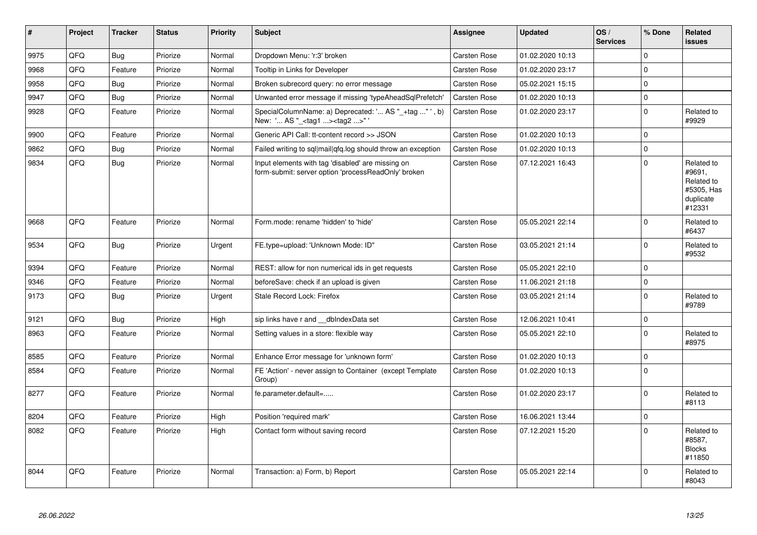| $\vert$ # | Project | <b>Tracker</b> | <b>Status</b> | <b>Priority</b> | Subject                                                                                                  | <b>Assignee</b>     | <b>Updated</b>   | OS/<br><b>Services</b> | % Done         | Related<br><b>issues</b>                                                |
|-----------|---------|----------------|---------------|-----------------|----------------------------------------------------------------------------------------------------------|---------------------|------------------|------------------------|----------------|-------------------------------------------------------------------------|
| 9975      | QFQ     | Bug            | Priorize      | Normal          | Dropdown Menu: 'r:3' broken                                                                              | Carsten Rose        | 01.02.2020 10:13 |                        | $\Omega$       |                                                                         |
| 9968      | QFQ     | Feature        | Priorize      | Normal          | Tooltip in Links for Developer                                                                           | Carsten Rose        | 01.02.2020 23:17 |                        | $\mathbf 0$    |                                                                         |
| 9958      | QFQ     | <b>Bug</b>     | Priorize      | Normal          | Broken subrecord query: no error message                                                                 | Carsten Rose        | 05.02.2021 15:15 |                        | $\Omega$       |                                                                         |
| 9947      | QFQ     | Bug            | Priorize      | Normal          | Unwanted error message if missing 'typeAheadSqlPrefetch'                                                 | <b>Carsten Rose</b> | 01.02.2020 10:13 |                        | $\mathbf 0$    |                                                                         |
| 9928      | QFQ     | Feature        | Priorize      | Normal          | SpecialColumnName: a) Deprecated: ' AS "_+tag " ', b)<br>New: ' AS "_ <tag1><tag2>"'</tag2></tag1>       | Carsten Rose        | 01.02.2020 23:17 |                        | $\Omega$       | Related to<br>#9929                                                     |
| 9900      | QFQ     | Feature        | Priorize      | Normal          | Generic API Call: tt-content record >> JSON                                                              | <b>Carsten Rose</b> | 01.02.2020 10:13 |                        | $\mathbf 0$    |                                                                         |
| 9862      | QFQ     | <b>Bug</b>     | Priorize      | Normal          | Failed writing to sql mail qfq.log should throw an exception                                             | <b>Carsten Rose</b> | 01.02.2020 10:13 |                        | $\Omega$       |                                                                         |
| 9834      | QFQ     | Bug            | Priorize      | Normal          | Input elements with tag 'disabled' are missing on<br>form-submit: server option 'processReadOnly' broken | Carsten Rose        | 07.12.2021 16:43 |                        | $\mathbf 0$    | Related to<br>#9691.<br>Related to<br>#5305, Has<br>duplicate<br>#12331 |
| 9668      | QFQ     | Feature        | Priorize      | Normal          | Form.mode: rename 'hidden' to 'hide'                                                                     | Carsten Rose        | 05.05.2021 22:14 |                        | $\Omega$       | Related to<br>#6437                                                     |
| 9534      | QFQ     | <b>Bug</b>     | Priorize      | Urgent          | FE.type=upload: 'Unknown Mode: ID"                                                                       | <b>Carsten Rose</b> | 03.05.2021 21:14 |                        | 0              | Related to<br>#9532                                                     |
| 9394      | QFQ     | Feature        | Priorize      | Normal          | REST: allow for non numerical ids in get requests                                                        | <b>Carsten Rose</b> | 05.05.2021 22:10 |                        | $\mathbf 0$    |                                                                         |
| 9346      | QFQ     | Feature        | Priorize      | Normal          | beforeSave: check if an upload is given                                                                  | <b>Carsten Rose</b> | 11.06.2021 21:18 |                        | $\Omega$       |                                                                         |
| 9173      | QFQ     | <b>Bug</b>     | Priorize      | Urgent          | Stale Record Lock: Firefox                                                                               | Carsten Rose        | 03.05.2021 21:14 |                        | $\mathbf 0$    | Related to<br>#9789                                                     |
| 9121      | QFQ     | Bug            | Priorize      | High            | sip links have r and __dbIndexData set                                                                   | Carsten Rose        | 12.06.2021 10:41 |                        | $\Omega$       |                                                                         |
| 8963      | QFQ     | Feature        | Priorize      | Normal          | Setting values in a store: flexible way                                                                  | Carsten Rose        | 05.05.2021 22:10 |                        | $\overline{0}$ | Related to<br>#8975                                                     |
| 8585      | QFQ     | Feature        | Priorize      | Normal          | Enhance Error message for 'unknown form'                                                                 | <b>Carsten Rose</b> | 01.02.2020 10:13 |                        | $\Omega$       |                                                                         |
| 8584      | QFQ     | Feature        | Priorize      | Normal          | FE 'Action' - never assign to Container (except Template<br>Group)                                       | Carsten Rose        | 01.02.2020 10:13 |                        | $\overline{0}$ |                                                                         |
| 8277      | QFQ     | Feature        | Priorize      | Normal          | fe.parameter.default=                                                                                    | <b>Carsten Rose</b> | 01.02.2020 23:17 |                        | 0              | Related to<br>#8113                                                     |
| 8204      | QFQ     | Feature        | Priorize      | High            | Position 'required mark'                                                                                 | Carsten Rose        | 16.06.2021 13:44 |                        | $\Omega$       |                                                                         |
| 8082      | QFQ     | Feature        | Priorize      | High            | Contact form without saving record                                                                       | <b>Carsten Rose</b> | 07.12.2021 15:20 |                        | $\Omega$       | Related to<br>#8587,<br><b>Blocks</b><br>#11850                         |
| 8044      | QFQ     | Feature        | Priorize      | Normal          | Transaction: a) Form, b) Report                                                                          | Carsten Rose        | 05.05.2021 22:14 |                        | $\Omega$       | Related to<br>#8043                                                     |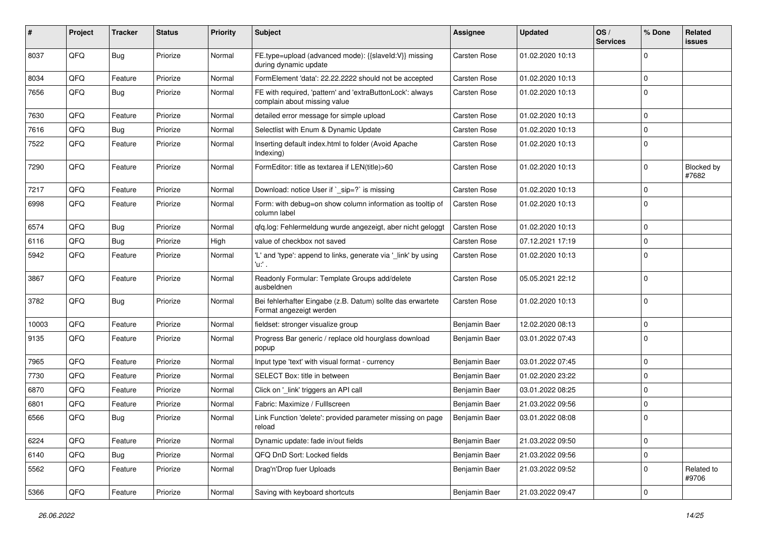| #     | Project | <b>Tracker</b> | <b>Status</b> | <b>Priority</b> | <b>Subject</b>                                                                            | <b>Assignee</b> | <b>Updated</b>   | OS/<br><b>Services</b> | % Done      | Related<br>issues   |
|-------|---------|----------------|---------------|-----------------|-------------------------------------------------------------------------------------------|-----------------|------------------|------------------------|-------------|---------------------|
| 8037  | QFQ     | Bug            | Priorize      | Normal          | FE.type=upload (advanced mode): {{slaveld:V}} missing<br>during dynamic update            | Carsten Rose    | 01.02.2020 10:13 |                        | $\Omega$    |                     |
| 8034  | QFQ     | Feature        | Priorize      | Normal          | FormElement 'data': 22.22.2222 should not be accepted                                     | Carsten Rose    | 01.02.2020 10:13 |                        | $\mathbf 0$ |                     |
| 7656  | QFQ     | <b>Bug</b>     | Priorize      | Normal          | FE with required, 'pattern' and 'extraButtonLock': always<br>complain about missing value | Carsten Rose    | 01.02.2020 10:13 |                        | $\Omega$    |                     |
| 7630  | QFQ     | Feature        | Priorize      | Normal          | detailed error message for simple upload                                                  | Carsten Rose    | 01.02.2020 10:13 |                        | $\mathbf 0$ |                     |
| 7616  | QFQ     | <b>Bug</b>     | Priorize      | Normal          | Selectlist with Enum & Dynamic Update                                                     | Carsten Rose    | 01.02.2020 10:13 |                        | $\mathbf 0$ |                     |
| 7522  | QFQ     | Feature        | Priorize      | Normal          | Inserting default index.html to folder (Avoid Apache<br>Indexing)                         | Carsten Rose    | 01.02.2020 10:13 |                        | $\mathbf 0$ |                     |
| 7290  | QFQ     | Feature        | Priorize      | Normal          | FormEditor: title as textarea if LEN(title)>60                                            | Carsten Rose    | 01.02.2020 10:13 |                        | $\mathbf 0$ | Blocked by<br>#7682 |
| 7217  | QFQ     | Feature        | Priorize      | Normal          | Download: notice User if `_sip=?` is missing                                              | Carsten Rose    | 01.02.2020 10:13 |                        | $\mathbf 0$ |                     |
| 6998  | QFQ     | Feature        | Priorize      | Normal          | Form: with debug=on show column information as tooltip of<br>column label                 | Carsten Rose    | 01.02.2020 10:13 |                        | $\mathbf 0$ |                     |
| 6574  | QFQ     | <b>Bug</b>     | Priorize      | Normal          | qfq.log: Fehlermeldung wurde angezeigt, aber nicht geloggt                                | Carsten Rose    | 01.02.2020 10:13 |                        | $\mathbf 0$ |                     |
| 6116  | QFQ     | <b>Bug</b>     | Priorize      | High            | value of checkbox not saved                                                               | Carsten Rose    | 07.12.2021 17:19 |                        | $\Omega$    |                     |
| 5942  | QFQ     | Feature        | Priorize      | Normal          | 'L' and 'type': append to links, generate via '_link' by using<br>'u:' .                  | Carsten Rose    | 01.02.2020 10:13 |                        | $\Omega$    |                     |
| 3867  | QFQ     | Feature        | Priorize      | Normal          | Readonly Formular: Template Groups add/delete<br>ausbeldnen                               | Carsten Rose    | 05.05.2021 22:12 |                        | $\Omega$    |                     |
| 3782  | QFQ     | <b>Bug</b>     | Priorize      | Normal          | Bei fehlerhafter Eingabe (z.B. Datum) sollte das erwartete<br>Format angezeigt werden     | Carsten Rose    | 01.02.2020 10:13 |                        | $\mathbf 0$ |                     |
| 10003 | QFQ     | Feature        | Priorize      | Normal          | fieldset: stronger visualize group                                                        | Benjamin Baer   | 12.02.2020 08:13 |                        | $\mathbf 0$ |                     |
| 9135  | QFQ     | Feature        | Priorize      | Normal          | Progress Bar generic / replace old hourglass download<br>popup                            | Benjamin Baer   | 03.01.2022 07:43 |                        | $\Omega$    |                     |
| 7965  | QFQ     | Feature        | Priorize      | Normal          | Input type 'text' with visual format - currency                                           | Benjamin Baer   | 03.01.2022 07:45 |                        | $\mathbf 0$ |                     |
| 7730  | QFQ     | Feature        | Priorize      | Normal          | SELECT Box: title in between                                                              | Benjamin Baer   | 01.02.2020 23:22 |                        | $\Omega$    |                     |
| 6870  | QFQ     | Feature        | Priorize      | Normal          | Click on '_link' triggers an API call                                                     | Benjamin Baer   | 03.01.2022 08:25 |                        | $\mathbf 0$ |                     |
| 6801  | QFQ     | Feature        | Priorize      | Normal          | Fabric: Maximize / FullIscreen                                                            | Benjamin Baer   | 21.03.2022 09:56 |                        | $\mathbf 0$ |                     |
| 6566  | QFQ     | Bug            | Priorize      | Normal          | Link Function 'delete': provided parameter missing on page<br>reload                      | Benjamin Baer   | 03.01.2022 08:08 |                        | $\mathbf 0$ |                     |
| 6224  | QFQ     | Feature        | Priorize      | Normal          | Dynamic update: fade in/out fields                                                        | Benjamin Baer   | 21.03.2022 09:50 |                        | $\mathbf 0$ |                     |
| 6140  | QFQ     | Bug            | Priorize      | Normal          | QFQ DnD Sort: Locked fields                                                               | Benjamin Baer   | 21.03.2022 09:56 |                        | $\mathbf 0$ |                     |
| 5562  | QFQ     | Feature        | Priorize      | Normal          | Drag'n'Drop fuer Uploads                                                                  | Benjamin Baer   | 21.03.2022 09:52 |                        | $\mathbf 0$ | Related to<br>#9706 |
| 5366  | QFQ     | Feature        | Priorize      | Normal          | Saving with keyboard shortcuts                                                            | Benjamin Baer   | 21.03.2022 09:47 |                        | $\mathbf 0$ |                     |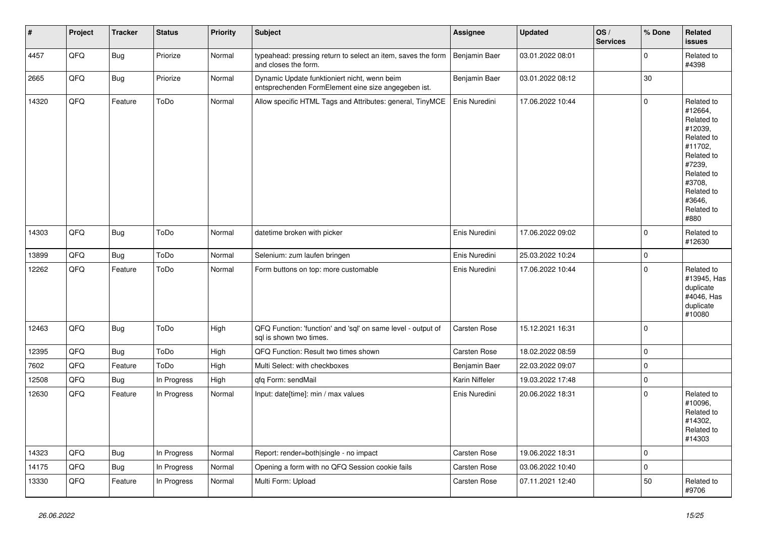| #     | Project | <b>Tracker</b> | <b>Status</b> | Priority | Subject                                                                                             | Assignee            | <b>Updated</b>   | OS/<br><b>Services</b> | % Done      | <b>Related</b><br><b>issues</b>                                                                                                                                       |
|-------|---------|----------------|---------------|----------|-----------------------------------------------------------------------------------------------------|---------------------|------------------|------------------------|-------------|-----------------------------------------------------------------------------------------------------------------------------------------------------------------------|
| 4457  | QFQ     | <b>Bug</b>     | Priorize      | Normal   | typeahead: pressing return to select an item, saves the form<br>and closes the form.                | Benjamin Baer       | 03.01.2022 08:01 |                        | $\mathbf 0$ | Related to<br>#4398                                                                                                                                                   |
| 2665  | QFQ     | Bug            | Priorize      | Normal   | Dynamic Update funktioniert nicht, wenn beim<br>entsprechenden FormElement eine size angegeben ist. | Benjamin Baer       | 03.01.2022 08:12 |                        | 30          |                                                                                                                                                                       |
| 14320 | QFQ     | Feature        | ToDo          | Normal   | Allow specific HTML Tags and Attributes: general, TinyMCE                                           | Enis Nuredini       | 17.06.2022 10:44 |                        | $\Omega$    | Related to<br>#12664,<br>Related to<br>#12039,<br>Related to<br>#11702.<br>Related to<br>#7239,<br>Related to<br>#3708.<br>Related to<br>#3646,<br>Related to<br>#880 |
| 14303 | QFQ     | Bug            | ToDo          | Normal   | datetime broken with picker                                                                         | Enis Nuredini       | 17.06.2022 09:02 |                        | $\mathbf 0$ | Related to<br>#12630                                                                                                                                                  |
| 13899 | QFQ     | Bug            | ToDo          | Normal   | Selenium: zum laufen bringen                                                                        | Enis Nuredini       | 25.03.2022 10:24 |                        | $\pmb{0}$   |                                                                                                                                                                       |
| 12262 | QFQ     | Feature        | ToDo          | Normal   | Form buttons on top: more customable                                                                | Enis Nuredini       | 17.06.2022 10:44 |                        | $\Omega$    | Related to<br>#13945, Has<br>duplicate<br>#4046, Has<br>duplicate<br>#10080                                                                                           |
| 12463 | QFQ     | <b>Bug</b>     | ToDo          | High     | QFQ Function: 'function' and 'sql' on same level - output of<br>sql is shown two times.             | Carsten Rose        | 15.12.2021 16:31 |                        | $\mathbf 0$ |                                                                                                                                                                       |
| 12395 | QFQ     | <b>Bug</b>     | ToDo          | High     | QFQ Function: Result two times shown                                                                | Carsten Rose        | 18.02.2022 08:59 |                        | $\mathbf 0$ |                                                                                                                                                                       |
| 7602  | QFQ     | Feature        | ToDo          | High     | Multi Select: with checkboxes                                                                       | Benjamin Baer       | 22.03.2022 09:07 |                        | $\mathbf 0$ |                                                                                                                                                                       |
| 12508 | QFQ     | <b>Bug</b>     | In Progress   | High     | qfq Form: sendMail                                                                                  | Karin Niffeler      | 19.03.2022 17:48 |                        | $\mathbf 0$ |                                                                                                                                                                       |
| 12630 | QFQ     | Feature        | In Progress   | Normal   | Input: date[time]: min / max values                                                                 | Enis Nuredini       | 20.06.2022 18:31 |                        | $\mathbf 0$ | Related to<br>#10096,<br>Related to<br>#14302,<br>Related to<br>#14303                                                                                                |
| 14323 | QFQ     | <b>Bug</b>     | In Progress   | Normal   | Report: render=both single - no impact                                                              | Carsten Rose        | 19.06.2022 18:31 |                        | $\mathbf 0$ |                                                                                                                                                                       |
| 14175 | QFQ     | Bug            | In Progress   | Normal   | Opening a form with no QFQ Session cookie fails                                                     | <b>Carsten Rose</b> | 03.06.2022 10:40 |                        | $\mathbf 0$ |                                                                                                                                                                       |
| 13330 | QFQ     | Feature        | In Progress   | Normal   | Multi Form: Upload                                                                                  | Carsten Rose        | 07.11.2021 12:40 |                        | 50          | Related to<br>#9706                                                                                                                                                   |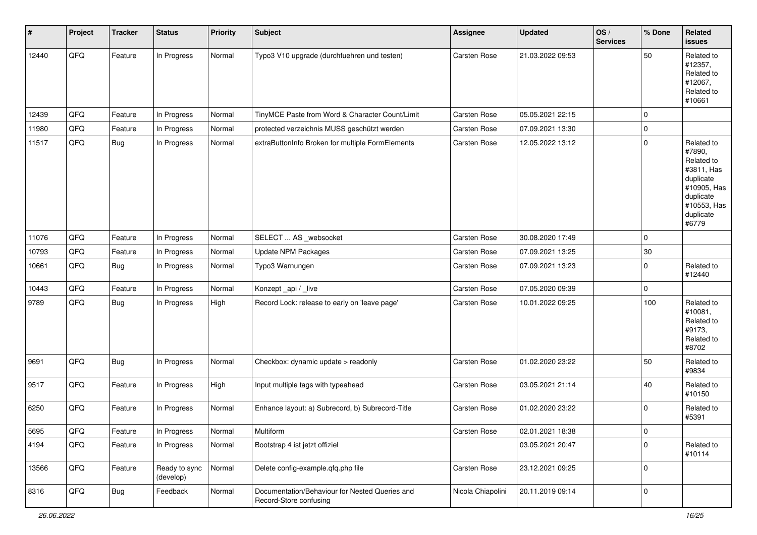| $\vert$ # | Project | <b>Tracker</b> | <b>Status</b>              | <b>Priority</b> | <b>Subject</b>                                                           | <b>Assignee</b>     | <b>Updated</b>   | OS/<br><b>Services</b> | % Done      | Related<br>issues                                                                                                              |
|-----------|---------|----------------|----------------------------|-----------------|--------------------------------------------------------------------------|---------------------|------------------|------------------------|-------------|--------------------------------------------------------------------------------------------------------------------------------|
| 12440     | QFQ     | Feature        | In Progress                | Normal          | Typo3 V10 upgrade (durchfuehren und testen)                              | <b>Carsten Rose</b> | 21.03.2022 09:53 |                        | 50          | Related to<br>#12357,<br>Related to<br>#12067,<br>Related to<br>#10661                                                         |
| 12439     | QFQ     | Feature        | In Progress                | Normal          | TinyMCE Paste from Word & Character Count/Limit                          | <b>Carsten Rose</b> | 05.05.2021 22:15 |                        | $\mathbf 0$ |                                                                                                                                |
| 11980     | QFQ     | Feature        | In Progress                | Normal          | protected verzeichnis MUSS geschützt werden                              | <b>Carsten Rose</b> | 07.09.2021 13:30 |                        | 0           |                                                                                                                                |
| 11517     | QFQ     | <b>Bug</b>     | In Progress                | Normal          | extraButtonInfo Broken for multiple FormElements                         | Carsten Rose        | 12.05.2022 13:12 |                        | $\mathbf 0$ | Related to<br>#7890,<br>Related to<br>#3811, Has<br>duplicate<br>#10905, Has<br>duplicate<br>#10553, Has<br>duplicate<br>#6779 |
| 11076     | QFQ     | Feature        | In Progress                | Normal          | SELECT  AS _websocket                                                    | Carsten Rose        | 30.08.2020 17:49 |                        | $\mathbf 0$ |                                                                                                                                |
| 10793     | QFQ     | Feature        | In Progress                | Normal          | <b>Update NPM Packages</b>                                               | Carsten Rose        | 07.09.2021 13:25 |                        | $30\,$      |                                                                                                                                |
| 10661     | QFQ     | <b>Bug</b>     | In Progress                | Normal          | Typo3 Warnungen                                                          | Carsten Rose        | 07.09.2021 13:23 |                        | $\mathbf 0$ | Related to<br>#12440                                                                                                           |
| 10443     | QFQ     | Feature        | In Progress                | Normal          | Konzept_api / _live                                                      | Carsten Rose        | 07.05.2020 09:39 |                        | 0           |                                                                                                                                |
| 9789      | QFQ     | Bug            | In Progress                | High            | Record Lock: release to early on 'leave page'                            | Carsten Rose        | 10.01.2022 09:25 |                        | 100         | Related to<br>#10081,<br>Related to<br>#9173,<br>Related to<br>#8702                                                           |
| 9691      | QFQ     | <b>Bug</b>     | In Progress                | Normal          | Checkbox: dynamic update > readonly                                      | <b>Carsten Rose</b> | 01.02.2020 23:22 |                        | 50          | Related to<br>#9834                                                                                                            |
| 9517      | QFQ     | Feature        | In Progress                | High            | Input multiple tags with typeahead                                       | Carsten Rose        | 03.05.2021 21:14 |                        | 40          | Related to<br>#10150                                                                                                           |
| 6250      | QFQ     | Feature        | In Progress                | Normal          | Enhance layout: a) Subrecord, b) Subrecord-Title                         | Carsten Rose        | 01.02.2020 23:22 |                        | $\mathbf 0$ | Related to<br>#5391                                                                                                            |
| 5695      | QFQ     | Feature        | In Progress                | Normal          | Multiform                                                                | <b>Carsten Rose</b> | 02.01.2021 18:38 |                        | 0           |                                                                                                                                |
| 4194      | QFQ     | Feature        | In Progress                | Normal          | Bootstrap 4 ist jetzt offiziel                                           |                     | 03.05.2021 20:47 |                        | 0           | Related to<br>#10114                                                                                                           |
| 13566     | QFQ     | Feature        | Ready to sync<br>(develop) | Normal          | Delete config-example.qfq.php file                                       | Carsten Rose        | 23.12.2021 09:25 |                        | 0           |                                                                                                                                |
| 8316      | QFQ     | <b>Bug</b>     | Feedback                   | Normal          | Documentation/Behaviour for Nested Queries and<br>Record-Store confusing | Nicola Chiapolini   | 20.11.2019 09:14 |                        | 0           |                                                                                                                                |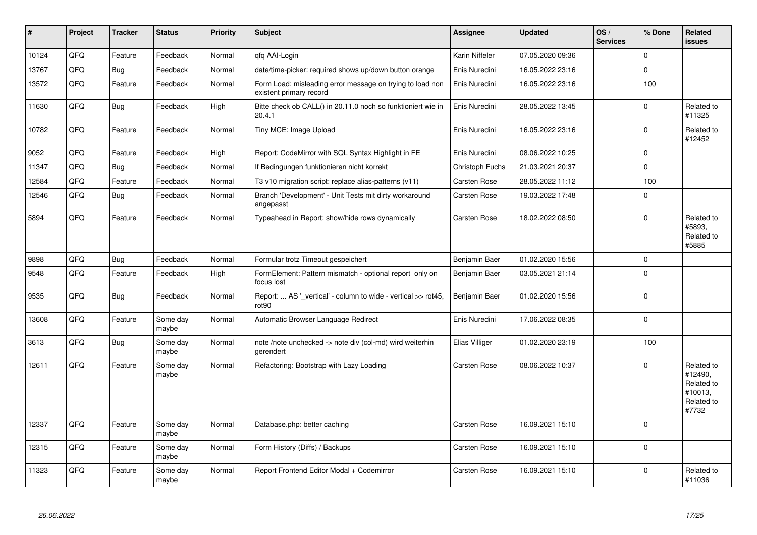| #     | Project | <b>Tracker</b> | <b>Status</b>     | <b>Priority</b> | <b>Subject</b>                                                                       | <b>Assignee</b>     | <b>Updated</b>   | OS/<br><b>Services</b> | % Done      | Related<br>issues                                                     |
|-------|---------|----------------|-------------------|-----------------|--------------------------------------------------------------------------------------|---------------------|------------------|------------------------|-------------|-----------------------------------------------------------------------|
| 10124 | QFQ     | Feature        | Feedback          | Normal          | qfq AAI-Login                                                                        | Karin Niffeler      | 07.05.2020 09:36 |                        | $\Omega$    |                                                                       |
| 13767 | QFQ     | <b>Bug</b>     | Feedback          | Normal          | date/time-picker: required shows up/down button orange                               | Enis Nuredini       | 16.05.2022 23:16 |                        | $\mathbf 0$ |                                                                       |
| 13572 | QFQ     | Feature        | Feedback          | Normal          | Form Load: misleading error message on trying to load non<br>existent primary record | Enis Nuredini       | 16.05.2022 23:16 |                        | 100         |                                                                       |
| 11630 | QFQ     | <b>Bug</b>     | Feedback          | High            | Bitte check ob CALL() in 20.11.0 noch so funktioniert wie in<br>20.4.1               | Enis Nuredini       | 28.05.2022 13:45 |                        | $\mathbf 0$ | Related to<br>#11325                                                  |
| 10782 | QFQ     | Feature        | Feedback          | Normal          | Tiny MCE: Image Upload                                                               | Enis Nuredini       | 16.05.2022 23:16 |                        | $\Omega$    | Related to<br>#12452                                                  |
| 9052  | QFQ     | Feature        | Feedback          | High            | Report: CodeMirror with SQL Syntax Highlight in FE                                   | Enis Nuredini       | 08.06.2022 10:25 |                        | $\Omega$    |                                                                       |
| 11347 | QFQ     | <b>Bug</b>     | Feedback          | Normal          | If Bedingungen funktionieren nicht korrekt                                           | Christoph Fuchs     | 21.03.2021 20:37 |                        | 0           |                                                                       |
| 12584 | QFQ     | Feature        | Feedback          | Normal          | T3 v10 migration script: replace alias-patterns (v11)                                | Carsten Rose        | 28.05.2022 11:12 |                        | 100         |                                                                       |
| 12546 | QFQ     | <b>Bug</b>     | Feedback          | Normal          | Branch 'Development' - Unit Tests mit dirty workaround<br>angepasst                  | Carsten Rose        | 19.03.2022 17:48 |                        | 0           |                                                                       |
| 5894  | QFQ     | Feature        | Feedback          | Normal          | Typeahead in Report: show/hide rows dynamically                                      | Carsten Rose        | 18.02.2022 08:50 |                        | $\Omega$    | Related to<br>#5893.<br>Related to<br>#5885                           |
| 9898  | QFQ     | <b>Bug</b>     | Feedback          | Normal          | Formular trotz Timeout gespeichert                                                   | Benjamin Baer       | 01.02.2020 15:56 |                        | $\Omega$    |                                                                       |
| 9548  | QFQ     | Feature        | Feedback          | High            | FormElement: Pattern mismatch - optional report only on<br>focus lost                | Benjamin Baer       | 03.05.2021 21:14 |                        | $\Omega$    |                                                                       |
| 9535  | QFQ     | <b>Bug</b>     | Feedback          | Normal          | Report:  AS '_vertical' - column to wide - vertical >> rot45,<br>rot90               | Benjamin Baer       | 01.02.2020 15:56 |                        | $\mathbf 0$ |                                                                       |
| 13608 | QFQ     | Feature        | Some day<br>maybe | Normal          | Automatic Browser Language Redirect                                                  | Enis Nuredini       | 17.06.2022 08:35 |                        | $\pmb{0}$   |                                                                       |
| 3613  | QFQ     | <b>Bug</b>     | Some day<br>maybe | Normal          | note /note unchecked -> note div (col-md) wird weiterhin<br>gerendert                | Elias Villiger      | 01.02.2020 23:19 |                        | 100         |                                                                       |
| 12611 | QFQ     | Feature        | Some day<br>maybe | Normal          | Refactoring: Bootstrap with Lazy Loading                                             | Carsten Rose        | 08.06.2022 10:37 |                        | $\Omega$    | Related to<br>#12490,<br>Related to<br>#10013,<br>Related to<br>#7732 |
| 12337 | QFQ     | Feature        | Some day<br>maybe | Normal          | Database.php: better caching                                                         | Carsten Rose        | 16.09.2021 15:10 |                        | $\Omega$    |                                                                       |
| 12315 | QFQ     | Feature        | Some day<br>maybe | Normal          | Form History (Diffs) / Backups                                                       | Carsten Rose        | 16.09.2021 15:10 |                        | $\mathbf 0$ |                                                                       |
| 11323 | QFQ     | Feature        | Some day<br>maybe | Normal          | Report Frontend Editor Modal + Codemirror                                            | <b>Carsten Rose</b> | 16.09.2021 15:10 |                        | $\Omega$    | Related to<br>#11036                                                  |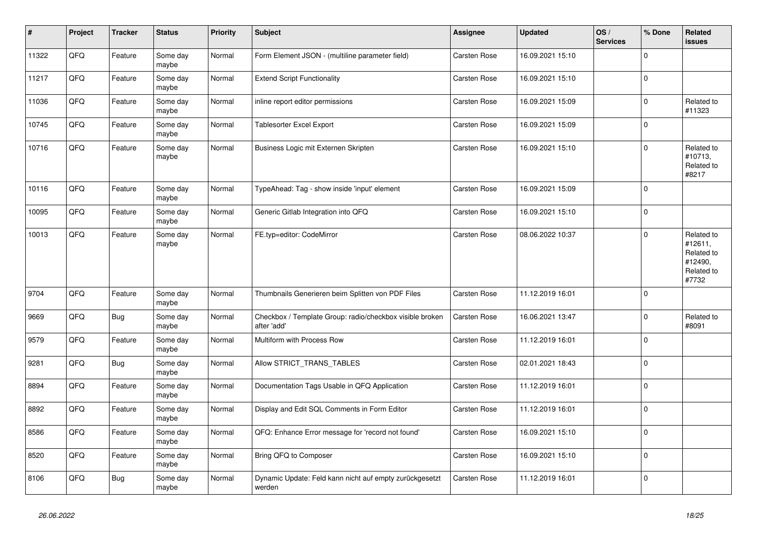| $\vert$ # | Project | <b>Tracker</b> | <b>Status</b>     | <b>Priority</b> | <b>Subject</b>                                                          | Assignee            | <b>Updated</b>   | OS/<br><b>Services</b> | % Done      | Related<br>issues                                                     |
|-----------|---------|----------------|-------------------|-----------------|-------------------------------------------------------------------------|---------------------|------------------|------------------------|-------------|-----------------------------------------------------------------------|
| 11322     | QFQ     | Feature        | Some day<br>maybe | Normal          | Form Element JSON - (multiline parameter field)                         | <b>Carsten Rose</b> | 16.09.2021 15:10 |                        | $\Omega$    |                                                                       |
| 11217     | QFQ     | Feature        | Some day<br>maybe | Normal          | <b>Extend Script Functionality</b>                                      | Carsten Rose        | 16.09.2021 15:10 |                        | 0           |                                                                       |
| 11036     | QFQ     | Feature        | Some day<br>maybe | Normal          | inline report editor permissions                                        | Carsten Rose        | 16.09.2021 15:09 |                        | $\pmb{0}$   | Related to<br>#11323                                                  |
| 10745     | QFQ     | Feature        | Some day<br>maybe | Normal          | Tablesorter Excel Export                                                | <b>Carsten Rose</b> | 16.09.2021 15:09 |                        | $\Omega$    |                                                                       |
| 10716     | QFQ     | Feature        | Some day<br>maybe | Normal          | Business Logic mit Externen Skripten                                    | Carsten Rose        | 16.09.2021 15:10 |                        | 0           | Related to<br>#10713,<br>Related to<br>#8217                          |
| 10116     | QFQ     | Feature        | Some day<br>maybe | Normal          | TypeAhead: Tag - show inside 'input' element                            | <b>Carsten Rose</b> | 16.09.2021 15:09 |                        | $\mathbf 0$ |                                                                       |
| 10095     | QFQ     | Feature        | Some day<br>maybe | Normal          | Generic Gitlab Integration into QFQ                                     | Carsten Rose        | 16.09.2021 15:10 |                        | $\mathbf 0$ |                                                                       |
| 10013     | QFG     | Feature        | Some day<br>maybe | Normal          | FE.typ=editor: CodeMirror                                               | Carsten Rose        | 08.06.2022 10:37 |                        | $\Omega$    | Related to<br>#12611,<br>Related to<br>#12490,<br>Related to<br>#7732 |
| 9704      | QFQ     | Feature        | Some day<br>maybe | Normal          | Thumbnails Generieren beim Splitten von PDF Files                       | <b>Carsten Rose</b> | 11.12.2019 16:01 |                        | $\Omega$    |                                                                       |
| 9669      | QFQ     | <b>Bug</b>     | Some day<br>maybe | Normal          | Checkbox / Template Group: radio/checkbox visible broken<br>after 'add' | Carsten Rose        | 16.06.2021 13:47 |                        | 0           | Related to<br>#8091                                                   |
| 9579      | QFQ     | Feature        | Some day<br>maybe | Normal          | Multiform with Process Row                                              | Carsten Rose        | 11.12.2019 16:01 |                        | 0           |                                                                       |
| 9281      | QFQ     | <b>Bug</b>     | Some day<br>maybe | Normal          | Allow STRICT_TRANS_TABLES                                               | Carsten Rose        | 02.01.2021 18:43 |                        | $\mathbf 0$ |                                                                       |
| 8894      | QFQ     | Feature        | Some day<br>maybe | Normal          | Documentation Tags Usable in QFQ Application                            | Carsten Rose        | 11.12.2019 16:01 |                        | $\mathbf 0$ |                                                                       |
| 8892      | QFQ     | Feature        | Some day<br>maybe | Normal          | Display and Edit SQL Comments in Form Editor                            | <b>Carsten Rose</b> | 11.12.2019 16:01 |                        | $\Omega$    |                                                                       |
| 8586      | QFQ     | Feature        | Some day<br>maybe | Normal          | QFQ: Enhance Error message for 'record not found'                       | Carsten Rose        | 16.09.2021 15:10 |                        | $\mathbf 0$ |                                                                       |
| 8520      | QFQ     | Feature        | Some day<br>maybe | Normal          | Bring QFQ to Composer                                                   | Carsten Rose        | 16.09.2021 15:10 |                        | $\mathbf 0$ |                                                                       |
| 8106      | QFQ     | <b>Bug</b>     | Some day<br>maybe | Normal          | Dynamic Update: Feld kann nicht auf empty zurückgesetzt<br>werden       | Carsten Rose        | 11.12.2019 16:01 |                        | $\mathbf 0$ |                                                                       |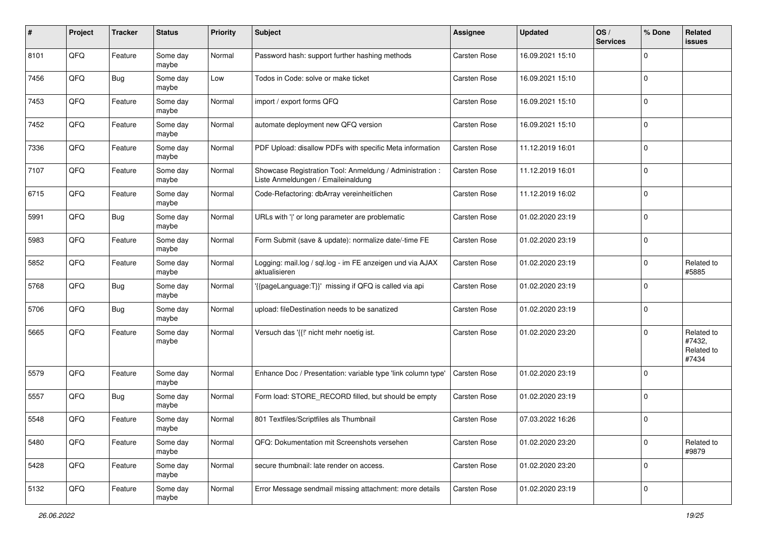| #    | Project | <b>Tracker</b> | <b>Status</b>     | <b>Priority</b> | <b>Subject</b>                                                                                 | <b>Assignee</b>     | <b>Updated</b>   | OS/<br><b>Services</b> | % Done      | Related<br>issues                           |
|------|---------|----------------|-------------------|-----------------|------------------------------------------------------------------------------------------------|---------------------|------------------|------------------------|-------------|---------------------------------------------|
| 8101 | QFQ     | Feature        | Some day<br>maybe | Normal          | Password hash: support further hashing methods                                                 | <b>Carsten Rose</b> | 16.09.2021 15:10 |                        | $\mathbf 0$ |                                             |
| 7456 | QFQ     | <b>Bug</b>     | Some day<br>maybe | Low             | Todos in Code: solve or make ticket                                                            | Carsten Rose        | 16.09.2021 15:10 |                        | $\mathbf 0$ |                                             |
| 7453 | QFQ     | Feature        | Some day<br>maybe | Normal          | import / export forms QFQ                                                                      | Carsten Rose        | 16.09.2021 15:10 |                        | 0           |                                             |
| 7452 | QFQ     | Feature        | Some day<br>maybe | Normal          | automate deployment new QFQ version                                                            | Carsten Rose        | 16.09.2021 15:10 |                        | 0           |                                             |
| 7336 | QFQ     | Feature        | Some day<br>maybe | Normal          | PDF Upload: disallow PDFs with specific Meta information                                       | Carsten Rose        | 11.12.2019 16:01 |                        | $\mathbf 0$ |                                             |
| 7107 | QFQ     | Feature        | Some day<br>maybe | Normal          | Showcase Registration Tool: Anmeldung / Administration :<br>Liste Anmeldungen / Emaileinaldung | Carsten Rose        | 11.12.2019 16:01 |                        | $\mathbf 0$ |                                             |
| 6715 | QFQ     | Feature        | Some day<br>maybe | Normal          | Code-Refactoring: dbArray vereinheitlichen                                                     | Carsten Rose        | 11.12.2019 16:02 |                        | $\mathbf 0$ |                                             |
| 5991 | QFQ     | <b>Bug</b>     | Some day<br>maybe | Normal          | URLs with ' ' or long parameter are problematic                                                | Carsten Rose        | 01.02.2020 23:19 |                        | 0           |                                             |
| 5983 | QFQ     | Feature        | Some day<br>maybe | Normal          | Form Submit (save & update): normalize date/-time FE                                           | Carsten Rose        | 01.02.2020 23:19 |                        | 0           |                                             |
| 5852 | QFQ     | Feature        | Some day<br>maybe | Normal          | Logging: mail.log / sql.log - im FE anzeigen und via AJAX<br>aktualisieren                     | Carsten Rose        | 01.02.2020 23:19 |                        | 0           | Related to<br>#5885                         |
| 5768 | QFQ     | <b>Bug</b>     | Some day<br>maybe | Normal          | '{{pageLanguage:T}}' missing if QFQ is called via api                                          | Carsten Rose        | 01.02.2020 23:19 |                        | $\mathbf 0$ |                                             |
| 5706 | QFQ     | <b>Bug</b>     | Some day<br>maybe | Normal          | upload: fileDestination needs to be sanatized                                                  | Carsten Rose        | 01.02.2020 23:19 |                        | $\mathbf 0$ |                                             |
| 5665 | QFQ     | Feature        | Some day<br>maybe | Normal          | Versuch das '{{!' nicht mehr noetig ist.                                                       | <b>Carsten Rose</b> | 01.02.2020 23:20 |                        | $\mathbf 0$ | Related to<br>#7432,<br>Related to<br>#7434 |
| 5579 | QFQ     | Feature        | Some day<br>maybe | Normal          | Enhance Doc / Presentation: variable type 'link column type'                                   | Carsten Rose        | 01.02.2020 23:19 |                        | $\mathbf 0$ |                                             |
| 5557 | QFQ     | <b>Bug</b>     | Some day<br>maybe | Normal          | Form load: STORE_RECORD filled, but should be empty                                            | <b>Carsten Rose</b> | 01.02.2020 23:19 |                        | 0           |                                             |
| 5548 | QFQ     | Feature        | Some day<br>maybe | Normal          | 801 Textfiles/Scriptfiles als Thumbnail                                                        | Carsten Rose        | 07.03.2022 16:26 |                        | 0           |                                             |
| 5480 | QFQ     | Feature        | Some day<br>maybe | Normal          | QFQ: Dokumentation mit Screenshots versehen                                                    | Carsten Rose        | 01.02.2020 23:20 |                        | $\mathbf 0$ | Related to<br>#9879                         |
| 5428 | QFQ     | Feature        | Some day<br>maybe | Normal          | secure thumbnail: late render on access.                                                       | Carsten Rose        | 01.02.2020 23:20 |                        | $\mathbf 0$ |                                             |
| 5132 | QFQ     | Feature        | Some day<br>maybe | Normal          | Error Message sendmail missing attachment: more details                                        | Carsten Rose        | 01.02.2020 23:19 |                        | $\mathbf 0$ |                                             |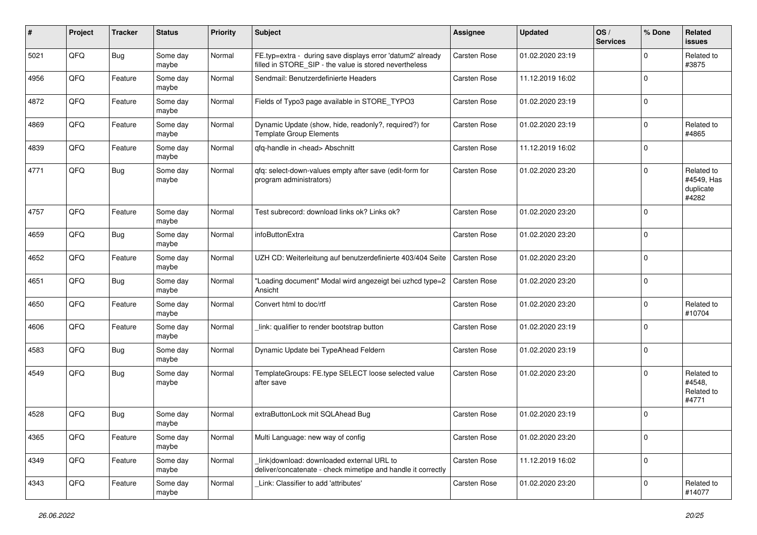| #    | Project | <b>Tracker</b> | <b>Status</b>     | <b>Priority</b> | <b>Subject</b>                                                                                                       | <b>Assignee</b>     | <b>Updated</b>   | OS/<br><b>Services</b> | % Done      | Related<br>issues                              |
|------|---------|----------------|-------------------|-----------------|----------------------------------------------------------------------------------------------------------------------|---------------------|------------------|------------------------|-------------|------------------------------------------------|
| 5021 | QFQ     | Bug            | Some day<br>maybe | Normal          | FE.typ=extra - during save displays error 'datum2' already<br>filled in STORE_SIP - the value is stored nevertheless | <b>Carsten Rose</b> | 01.02.2020 23:19 |                        | $\Omega$    | Related to<br>#3875                            |
| 4956 | QFQ     | Feature        | Some day<br>maybe | Normal          | Sendmail: Benutzerdefinierte Headers                                                                                 | <b>Carsten Rose</b> | 11.12.2019 16:02 |                        | $\Omega$    |                                                |
| 4872 | QFQ     | Feature        | Some day<br>maybe | Normal          | Fields of Typo3 page available in STORE_TYPO3                                                                        | Carsten Rose        | 01.02.2020 23:19 |                        | $\Omega$    |                                                |
| 4869 | QFQ     | Feature        | Some day<br>maybe | Normal          | Dynamic Update (show, hide, readonly?, required?) for<br><b>Template Group Elements</b>                              | Carsten Rose        | 01.02.2020 23:19 |                        | $\Omega$    | Related to<br>#4865                            |
| 4839 | QFQ     | Feature        | Some day<br>maybe | Normal          | qfq-handle in <head> Abschnitt</head>                                                                                | Carsten Rose        | 11.12.2019 16:02 |                        | $\Omega$    |                                                |
| 4771 | QFQ     | <b>Bug</b>     | Some day<br>maybe | Normal          | qfq: select-down-values empty after save (edit-form for<br>program administrators)                                   | <b>Carsten Rose</b> | 01.02.2020 23:20 |                        | $\Omega$    | Related to<br>#4549, Has<br>duplicate<br>#4282 |
| 4757 | QFQ     | Feature        | Some day<br>maybe | Normal          | Test subrecord: download links ok? Links ok?                                                                         | <b>Carsten Rose</b> | 01.02.2020 23:20 |                        | $\Omega$    |                                                |
| 4659 | QFQ     | Bug            | Some day<br>maybe | Normal          | infoButtonExtra                                                                                                      | <b>Carsten Rose</b> | 01.02.2020 23:20 |                        | $\Omega$    |                                                |
| 4652 | QFQ     | Feature        | Some day<br>maybe | Normal          | UZH CD: Weiterleitung auf benutzerdefinierte 403/404 Seite                                                           | <b>Carsten Rose</b> | 01.02.2020 23:20 |                        | $\Omega$    |                                                |
| 4651 | QFQ     | Bug            | Some day<br>maybe | Normal          | "Loading document" Modal wird angezeigt bei uzhcd type=2<br>Ansicht                                                  | Carsten Rose        | 01.02.2020 23:20 |                        | $\Omega$    |                                                |
| 4650 | QFQ     | Feature        | Some day<br>maybe | Normal          | Convert html to doc/rtf                                                                                              | <b>Carsten Rose</b> | 01.02.2020 23:20 |                        | $\mathbf 0$ | Related to<br>#10704                           |
| 4606 | QFQ     | Feature        | Some day<br>maybe | Normal          | link: qualifier to render bootstrap button                                                                           | Carsten Rose        | 01.02.2020 23:19 |                        | $\Omega$    |                                                |
| 4583 | QFQ     | Bug            | Some day<br>maybe | Normal          | Dynamic Update bei TypeAhead Feldern                                                                                 | Carsten Rose        | 01.02.2020 23:19 |                        | $\Omega$    |                                                |
| 4549 | QFQ     | Bug            | Some day<br>maybe | Normal          | TemplateGroups: FE.type SELECT loose selected value<br>after save                                                    | <b>Carsten Rose</b> | 01.02.2020 23:20 |                        | $\Omega$    | Related to<br>#4548.<br>Related to<br>#4771    |
| 4528 | QFQ     | <b>Bug</b>     | Some day<br>maybe | Normal          | extraButtonLock mit SQLAhead Bug                                                                                     | Carsten Rose        | 01.02.2020 23:19 |                        | $\Omega$    |                                                |
| 4365 | QFQ     | Feature        | Some day<br>maybe | Normal          | Multi Language: new way of config                                                                                    | Carsten Rose        | 01.02.2020 23:20 |                        | 0           |                                                |
| 4349 | QFQ     | Feature        | Some day<br>maybe | Normal          | link download: downloaded external URL to<br>deliver/concatenate - check mimetipe and handle it correctly            | Carsten Rose        | 11.12.2019 16:02 |                        | $\mathbf 0$ |                                                |
| 4343 | QFQ     | Feature        | Some day<br>maybe | Normal          | Link: Classifier to add 'attributes'                                                                                 | Carsten Rose        | 01.02.2020 23:20 |                        | 0           | Related to<br>#14077                           |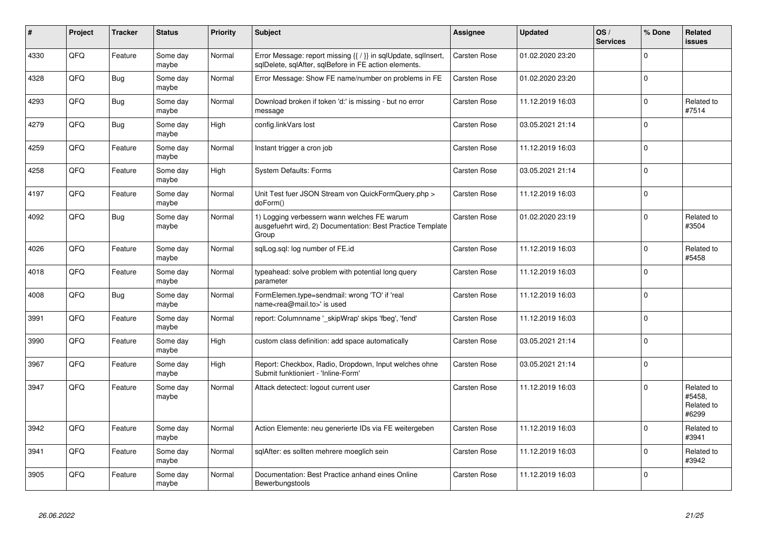| #    | Project | <b>Tracker</b> | <b>Status</b>     | <b>Priority</b> | <b>Subject</b>                                                                                                          | <b>Assignee</b>     | <b>Updated</b>   | OS/<br><b>Services</b> | % Done      | Related<br><b>issues</b>                    |
|------|---------|----------------|-------------------|-----------------|-------------------------------------------------------------------------------------------------------------------------|---------------------|------------------|------------------------|-------------|---------------------------------------------|
| 4330 | QFQ     | Feature        | Some day<br>maybe | Normal          | Error Message: report missing {{ / }} in sqlUpdate, sqlInsert,<br>sqlDelete, sqlAfter, sqlBefore in FE action elements. | <b>Carsten Rose</b> | 01.02.2020 23:20 |                        | $\Omega$    |                                             |
| 4328 | QFQ     | <b>Bug</b>     | Some day<br>maybe | Normal          | Error Message: Show FE name/number on problems in FE                                                                    | Carsten Rose        | 01.02.2020 23:20 |                        | $\Omega$    |                                             |
| 4293 | QFQ     | <b>Bug</b>     | Some day<br>maybe | Normal          | Download broken if token 'd:' is missing - but no error<br>message                                                      | Carsten Rose        | 11.12.2019 16:03 |                        | $\mathbf 0$ | Related to<br>#7514                         |
| 4279 | QFQ     | <b>Bug</b>     | Some day<br>maybe | High            | config.linkVars lost                                                                                                    | Carsten Rose        | 03.05.2021 21:14 |                        | $\Omega$    |                                             |
| 4259 | QFQ     | Feature        | Some day<br>maybe | Normal          | Instant trigger a cron job                                                                                              | Carsten Rose        | 11.12.2019 16:03 |                        | $\Omega$    |                                             |
| 4258 | QFQ     | Feature        | Some day<br>maybe | High            | <b>System Defaults: Forms</b>                                                                                           | Carsten Rose        | 03.05.2021 21:14 |                        | $\pmb{0}$   |                                             |
| 4197 | QFQ     | Feature        | Some day<br>maybe | Normal          | Unit Test fuer JSON Stream von QuickFormQuery.php ><br>doForm()                                                         | Carsten Rose        | 11.12.2019 16:03 |                        | $\Omega$    |                                             |
| 4092 | QFQ     | Bug            | Some day<br>maybe | Normal          | 1) Logging verbessern wann welches FE warum<br>ausgefuehrt wird, 2) Documentation: Best Practice Template<br>Group      | <b>Carsten Rose</b> | 01.02.2020 23:19 |                        | $\Omega$    | Related to<br>#3504                         |
| 4026 | QFQ     | Feature        | Some day<br>maybe | Normal          | sqlLog.sql: log number of FE.id                                                                                         | Carsten Rose        | 11.12.2019 16:03 |                        | $\Omega$    | Related to<br>#5458                         |
| 4018 | QFQ     | Feature        | Some day<br>maybe | Normal          | typeahead: solve problem with potential long query<br>parameter                                                         | Carsten Rose        | 11.12.2019 16:03 |                        | $\Omega$    |                                             |
| 4008 | QFQ     | <b>Bug</b>     | Some day<br>maybe | Normal          | FormElemen.type=sendmail: wrong 'TO' if 'real<br>name <rea@mail.to>' is used</rea@mail.to>                              | <b>Carsten Rose</b> | 11.12.2019 16:03 |                        | $\pmb{0}$   |                                             |
| 3991 | QFQ     | Feature        | Some day<br>maybe | Normal          | report: Columnname '_skipWrap' skips 'fbeg', 'fend'                                                                     | Carsten Rose        | 11.12.2019 16:03 |                        | $\Omega$    |                                             |
| 3990 | QFQ     | Feature        | Some day<br>maybe | High            | custom class definition: add space automatically                                                                        | <b>Carsten Rose</b> | 03.05.2021 21:14 |                        | $\Omega$    |                                             |
| 3967 | QFQ     | Feature        | Some day<br>maybe | High            | Report: Checkbox, Radio, Dropdown, Input welches ohne<br>Submit funktioniert - 'Inline-Form'                            | Carsten Rose        | 03.05.2021 21:14 |                        | $\mathbf 0$ |                                             |
| 3947 | QFQ     | Feature        | Some day<br>maybe | Normal          | Attack detectect: logout current user                                                                                   | Carsten Rose        | 11.12.2019 16:03 |                        | $\Omega$    | Related to<br>#5458.<br>Related to<br>#6299 |
| 3942 | QFQ     | Feature        | Some day<br>maybe | Normal          | Action Elemente: neu generierte IDs via FE weitergeben                                                                  | Carsten Rose        | 11.12.2019 16:03 |                        | $\Omega$    | Related to<br>#3941                         |
| 3941 | QFQ     | Feature        | Some day<br>maybe | Normal          | sqlAfter: es sollten mehrere moeglich sein                                                                              | Carsten Rose        | 11.12.2019 16:03 |                        | $\Omega$    | Related to<br>#3942                         |
| 3905 | QFQ     | Feature        | Some day<br>maybe | Normal          | Documentation: Best Practice anhand eines Online<br>Bewerbungstools                                                     | <b>Carsten Rose</b> | 11.12.2019 16:03 |                        | $\Omega$    |                                             |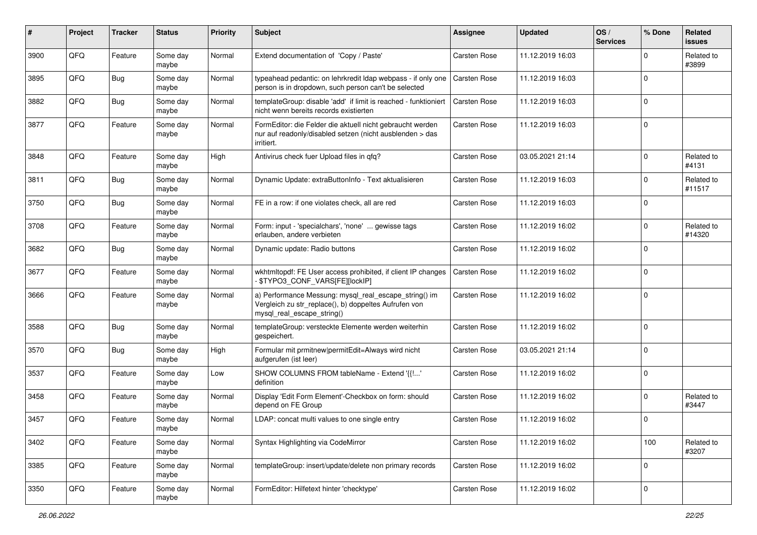| #    | Project | <b>Tracker</b> | <b>Status</b>     | <b>Priority</b> | <b>Subject</b>                                                                                                                               | <b>Assignee</b>     | <b>Updated</b>   | OS/<br><b>Services</b> | % Done      | Related<br>issues    |
|------|---------|----------------|-------------------|-----------------|----------------------------------------------------------------------------------------------------------------------------------------------|---------------------|------------------|------------------------|-------------|----------------------|
| 3900 | QFQ     | Feature        | Some day<br>maybe | Normal          | Extend documentation of 'Copy / Paste'                                                                                                       | <b>Carsten Rose</b> | 11.12.2019 16:03 |                        | $\Omega$    | Related to<br>#3899  |
| 3895 | QFQ     | Bug            | Some day<br>maybe | Normal          | typeahead pedantic: on lehrkredit Idap webpass - if only one<br>person is in dropdown, such person can't be selected                         | Carsten Rose        | 11.12.2019 16:03 |                        | $\Omega$    |                      |
| 3882 | QFQ     | <b>Bug</b>     | Some day<br>maybe | Normal          | templateGroup: disable 'add' if limit is reached - funktioniert<br>nicht wenn bereits records existierten                                    | Carsten Rose        | 11.12.2019 16:03 |                        | $\Omega$    |                      |
| 3877 | QFQ     | Feature        | Some day<br>maybe | Normal          | FormEditor: die Felder die aktuell nicht gebraucht werden<br>nur auf readonly/disabled setzen (nicht ausblenden > das<br>irritiert.          | Carsten Rose        | 11.12.2019 16:03 |                        | $\mathbf 0$ |                      |
| 3848 | QFQ     | Feature        | Some day<br>maybe | High            | Antivirus check fuer Upload files in qfq?                                                                                                    | Carsten Rose        | 03.05.2021 21:14 |                        | $\mathbf 0$ | Related to<br>#4131  |
| 3811 | QFQ     | <b>Bug</b>     | Some day<br>maybe | Normal          | Dynamic Update: extraButtonInfo - Text aktualisieren                                                                                         | Carsten Rose        | 11.12.2019 16:03 |                        | $\mathbf 0$ | Related to<br>#11517 |
| 3750 | QFQ     | <b>Bug</b>     | Some day<br>maybe | Normal          | FE in a row: if one violates check, all are red                                                                                              | Carsten Rose        | 11.12.2019 16:03 |                        | $\mathbf 0$ |                      |
| 3708 | QFQ     | Feature        | Some day<br>maybe | Normal          | Form: input - 'specialchars', 'none'  gewisse tags<br>erlauben, andere verbieten                                                             | Carsten Rose        | 11.12.2019 16:02 |                        | $\Omega$    | Related to<br>#14320 |
| 3682 | QFQ     | <b>Bug</b>     | Some day<br>maybe | Normal          | Dynamic update: Radio buttons                                                                                                                | <b>Carsten Rose</b> | 11.12.2019 16:02 |                        | $\mathbf 0$ |                      |
| 3677 | QFQ     | Feature        | Some day<br>maybe | Normal          | wkhtmltopdf: FE User access prohibited, if client IP changes<br>\$TYPO3_CONF_VARS[FE][lockIP]                                                | Carsten Rose        | 11.12.2019 16:02 |                        | $\mathbf 0$ |                      |
| 3666 | QFQ     | Feature        | Some day<br>maybe | Normal          | a) Performance Messung: mysql_real_escape_string() im<br>Vergleich zu str_replace(), b) doppeltes Aufrufen von<br>mysql_real_escape_string() | <b>Carsten Rose</b> | 11.12.2019 16:02 |                        | $\Omega$    |                      |
| 3588 | QFQ     | Bug            | Some day<br>maybe | Normal          | templateGroup: versteckte Elemente werden weiterhin<br>gespeichert.                                                                          | Carsten Rose        | 11.12.2019 16:02 |                        | $\Omega$    |                      |
| 3570 | QFQ     | <b>Bug</b>     | Some day<br>maybe | High            | Formular mit prmitnew permitEdit=Always wird nicht<br>aufgerufen (ist leer)                                                                  | Carsten Rose        | 03.05.2021 21:14 |                        | $\Omega$    |                      |
| 3537 | QFQ     | Feature        | Some day<br>maybe | Low             | SHOW COLUMNS FROM tableName - Extend '{{!'<br>definition                                                                                     | Carsten Rose        | 11.12.2019 16:02 |                        | $\Omega$    |                      |
| 3458 | QFQ     | Feature        | Some day<br>maybe | Normal          | Display 'Edit Form Element'-Checkbox on form: should<br>depend on FE Group                                                                   | Carsten Rose        | 11.12.2019 16:02 |                        | $\mathbf 0$ | Related to<br>#3447  |
| 3457 | QFQ     | Feature        | Some day<br>maybe | Normal          | LDAP: concat multi values to one single entry                                                                                                | Carsten Rose        | 11.12.2019 16:02 |                        | $\Omega$    |                      |
| 3402 | QFQ     | Feature        | Some day<br>maybe | Normal          | Syntax Highlighting via CodeMirror                                                                                                           | Carsten Rose        | 11.12.2019 16:02 |                        | 100         | Related to<br>#3207  |
| 3385 | QFQ     | Feature        | Some day<br>maybe | Normal          | templateGroup: insert/update/delete non primary records                                                                                      | Carsten Rose        | 11.12.2019 16:02 |                        | $\mathbf 0$ |                      |
| 3350 | QFQ     | Feature        | Some day<br>maybe | Normal          | FormEditor: Hilfetext hinter 'checktype'                                                                                                     | Carsten Rose        | 11.12.2019 16:02 |                        | $\mathbf 0$ |                      |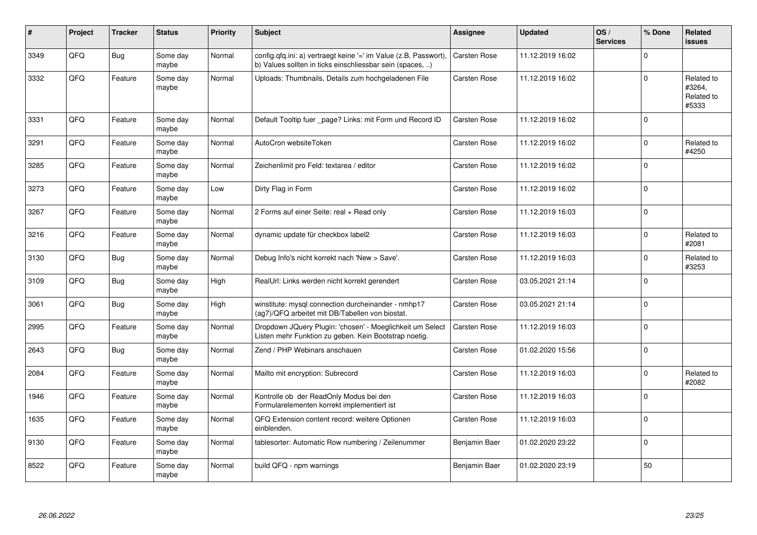| #    | Project | <b>Tracker</b> | <b>Status</b>     | <b>Priority</b> | <b>Subject</b>                                                                                                                | <b>Assignee</b>     | <b>Updated</b>   | OS/<br><b>Services</b> | % Done      | Related<br><b>issues</b>                    |
|------|---------|----------------|-------------------|-----------------|-------------------------------------------------------------------------------------------------------------------------------|---------------------|------------------|------------------------|-------------|---------------------------------------------|
| 3349 | QFQ     | <b>Bug</b>     | Some day<br>maybe | Normal          | config.qfq.ini: a) vertraegt keine '=' im Value (z.B. Passwort),<br>b) Values sollten in ticks einschliessbar sein (spaces, ) | Carsten Rose        | 11.12.2019 16:02 |                        | $\mathbf 0$ |                                             |
| 3332 | QFQ     | Feature        | Some day<br>maybe | Normal          | Uploads: Thumbnails, Details zum hochgeladenen File                                                                           | <b>Carsten Rose</b> | 11.12.2019 16:02 |                        | $\mathbf 0$ | Related to<br>#3264,<br>Related to<br>#5333 |
| 3331 | QFQ     | Feature        | Some day<br>maybe | Normal          | Default Tooltip fuer _page? Links: mit Form und Record ID                                                                     | <b>Carsten Rose</b> | 11.12.2019 16:02 |                        | $\Omega$    |                                             |
| 3291 | QFQ     | Feature        | Some day<br>maybe | Normal          | AutoCron websiteToken                                                                                                         | Carsten Rose        | 11.12.2019 16:02 |                        | $\mathbf 0$ | Related to<br>#4250                         |
| 3285 | QFQ     | Feature        | Some day<br>maybe | Normal          | Zeichenlimit pro Feld: textarea / editor                                                                                      | Carsten Rose        | 11.12.2019 16:02 |                        | $\mathbf 0$ |                                             |
| 3273 | QFQ     | Feature        | Some day<br>maybe | Low             | Dirty Flag in Form                                                                                                            | <b>Carsten Rose</b> | 11.12.2019 16:02 |                        | $\Omega$    |                                             |
| 3267 | QFQ     | Feature        | Some day<br>maybe | Normal          | 2 Forms auf einer Seite: real + Read only                                                                                     | Carsten Rose        | 11.12.2019 16:03 |                        | $\pmb{0}$   |                                             |
| 3216 | QFQ     | Feature        | Some day<br>maybe | Normal          | dynamic update für checkbox label2                                                                                            | <b>Carsten Rose</b> | 11.12.2019 16:03 |                        | $\mathbf 0$ | Related to<br>#2081                         |
| 3130 | QFQ     | Bug            | Some day<br>maybe | Normal          | Debug Info's nicht korrekt nach 'New > Save'.                                                                                 | <b>Carsten Rose</b> | 11.12.2019 16:03 |                        | $\Omega$    | Related to<br>#3253                         |
| 3109 | QFQ     | Bug            | Some day<br>maybe | High            | RealUrl: Links werden nicht korrekt gerendert                                                                                 | Carsten Rose        | 03.05.2021 21:14 |                        | $\mathbf 0$ |                                             |
| 3061 | QFQ     | Bug            | Some day<br>maybe | High            | winstitute: mysql connection durcheinander - nmhp17<br>(ag7)/QFQ arbeitet mit DB/Tabellen von biostat.                        | Carsten Rose        | 03.05.2021 21:14 |                        | $\Omega$    |                                             |
| 2995 | QFQ     | Feature        | Some day<br>maybe | Normal          | Dropdown JQuery Plugin: 'chosen' - Moeglichkeit um Select<br>Listen mehr Funktion zu geben. Kein Bootstrap noetig.            | <b>Carsten Rose</b> | 11.12.2019 16:03 |                        | $\mathbf 0$ |                                             |
| 2643 | QFQ     | Bug            | Some day<br>maybe | Normal          | Zend / PHP Webinars anschauen                                                                                                 | Carsten Rose        | 01.02.2020 15:56 |                        | $\Omega$    |                                             |
| 2084 | QFQ     | Feature        | Some day<br>maybe | Normal          | Mailto mit encryption: Subrecord                                                                                              | Carsten Rose        | 11.12.2019 16:03 |                        | $\Omega$    | Related to<br>#2082                         |
| 1946 | QFQ     | Feature        | Some day<br>maybe | Normal          | Kontrolle ob der ReadOnly Modus bei den<br>Formularelementen korrekt implementiert ist                                        | <b>Carsten Rose</b> | 11.12.2019 16:03 |                        | $\Omega$    |                                             |
| 1635 | QFQ     | Feature        | Some day<br>maybe | Normal          | QFQ Extension content record: weitere Optionen<br>einblenden.                                                                 | Carsten Rose        | 11.12.2019 16:03 |                        | $\Omega$    |                                             |
| 9130 | QFQ     | Feature        | Some day<br>maybe | Normal          | tablesorter: Automatic Row numbering / Zeilenummer                                                                            | Benjamin Baer       | 01.02.2020 23:22 |                        | $\mathbf 0$ |                                             |
| 8522 | QFQ     | Feature        | Some day<br>maybe | Normal          | build QFQ - npm warnings                                                                                                      | Benjamin Baer       | 01.02.2020 23:19 |                        | 50          |                                             |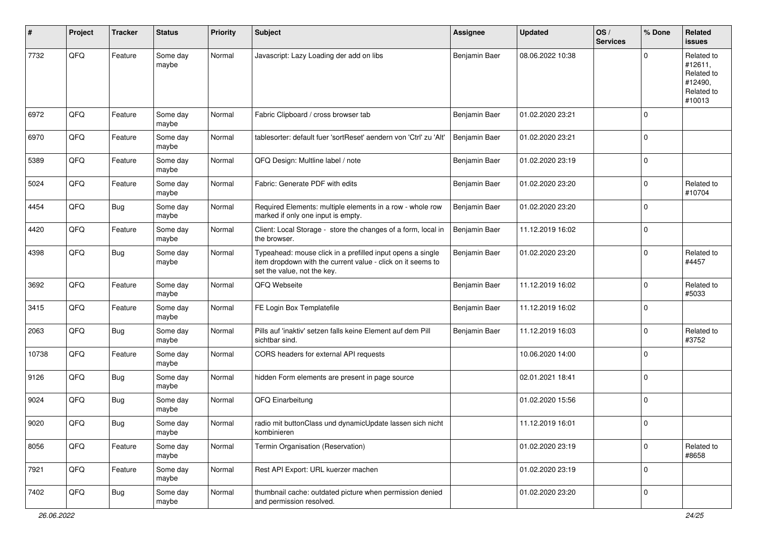| #     | Project | <b>Tracker</b> | <b>Status</b>     | <b>Priority</b> | <b>Subject</b>                                                                                                                                           | <b>Assignee</b> | <b>Updated</b>   | OS/<br><b>Services</b> | % Done      | Related<br><b>issues</b>                                               |
|-------|---------|----------------|-------------------|-----------------|----------------------------------------------------------------------------------------------------------------------------------------------------------|-----------------|------------------|------------------------|-------------|------------------------------------------------------------------------|
| 7732  | QFQ     | Feature        | Some day<br>maybe | Normal          | Javascript: Lazy Loading der add on libs                                                                                                                 | Benjamin Baer   | 08.06.2022 10:38 |                        | $\Omega$    | Related to<br>#12611,<br>Related to<br>#12490,<br>Related to<br>#10013 |
| 6972  | QFQ     | Feature        | Some day<br>maybe | Normal          | Fabric Clipboard / cross browser tab                                                                                                                     | Benjamin Baer   | 01.02.2020 23:21 |                        | $\Omega$    |                                                                        |
| 6970  | QFQ     | Feature        | Some day<br>maybe | Normal          | tablesorter: default fuer 'sortReset' aendern von 'Ctrl' zu 'Alt'                                                                                        | Benjamin Baer   | 01.02.2020 23:21 |                        | $\mathbf 0$ |                                                                        |
| 5389  | QFQ     | Feature        | Some day<br>maybe | Normal          | QFQ Design: Multline label / note                                                                                                                        | Benjamin Baer   | 01.02.2020 23:19 |                        | $\mathbf 0$ |                                                                        |
| 5024  | QFQ     | Feature        | Some day<br>maybe | Normal          | Fabric: Generate PDF with edits                                                                                                                          | Benjamin Baer   | 01.02.2020 23:20 |                        | $\mathbf 0$ | Related to<br>#10704                                                   |
| 4454  | QFQ     | Bug            | Some day<br>maybe | Normal          | Required Elements: multiple elements in a row - whole row<br>marked if only one input is empty.                                                          | Benjamin Baer   | 01.02.2020 23:20 |                        | $\mathbf 0$ |                                                                        |
| 4420  | QFQ     | Feature        | Some day<br>maybe | Normal          | Client: Local Storage - store the changes of a form, local in<br>the browser.                                                                            | Benjamin Baer   | 11.12.2019 16:02 |                        | $\mathbf 0$ |                                                                        |
| 4398  | QFQ     | <b>Bug</b>     | Some day<br>maybe | Normal          | Typeahead: mouse click in a prefilled input opens a single<br>item dropdown with the current value - click on it seems to<br>set the value, not the key. | Benjamin Baer   | 01.02.2020 23:20 |                        | $\mathbf 0$ | Related to<br>#4457                                                    |
| 3692  | QFQ     | Feature        | Some day<br>maybe | Normal          | QFQ Webseite                                                                                                                                             | Benjamin Baer   | 11.12.2019 16:02 |                        | $\mathbf 0$ | Related to<br>#5033                                                    |
| 3415  | QFQ     | Feature        | Some day<br>maybe | Normal          | FE Login Box Templatefile                                                                                                                                | Benjamin Baer   | 11.12.2019 16:02 |                        | $\mathbf 0$ |                                                                        |
| 2063  | QFQ     | Bug            | Some day<br>maybe | Normal          | Pills auf 'inaktiv' setzen falls keine Element auf dem Pill<br>sichtbar sind.                                                                            | Benjamin Baer   | 11.12.2019 16:03 |                        | $\mathbf 0$ | Related to<br>#3752                                                    |
| 10738 | QFQ     | Feature        | Some day<br>maybe | Normal          | CORS headers for external API requests                                                                                                                   |                 | 10.06.2020 14:00 |                        | $\Omega$    |                                                                        |
| 9126  | QFQ     | Bug            | Some day<br>maybe | Normal          | hidden Form elements are present in page source                                                                                                          |                 | 02.01.2021 18:41 |                        | $\mathbf 0$ |                                                                        |
| 9024  | QFQ     | Bug            | Some day<br>maybe | Normal          | QFQ Einarbeitung                                                                                                                                         |                 | 01.02.2020 15:56 |                        | $\mathbf 0$ |                                                                        |
| 9020  | QFQ     | <b>Bug</b>     | Some day<br>maybe | Normal          | radio mit buttonClass und dynamicUpdate lassen sich nicht<br>kombinieren                                                                                 |                 | 11.12.2019 16:01 |                        | $\mathbf 0$ |                                                                        |
| 8056  | QFQ     | Feature        | Some day<br>maybe | Normal          | Termin Organisation (Reservation)                                                                                                                        |                 | 01.02.2020 23:19 |                        | $\pmb{0}$   | Related to<br>#8658                                                    |
| 7921  | QFQ     | Feature        | Some day<br>maybe | Normal          | Rest API Export: URL kuerzer machen                                                                                                                      |                 | 01.02.2020 23:19 |                        | $\mathbf 0$ |                                                                        |
| 7402  | QFQ     | Bug            | Some day<br>maybe | Normal          | thumbnail cache: outdated picture when permission denied<br>and permission resolved.                                                                     |                 | 01.02.2020 23:20 |                        | $\mathbf 0$ |                                                                        |